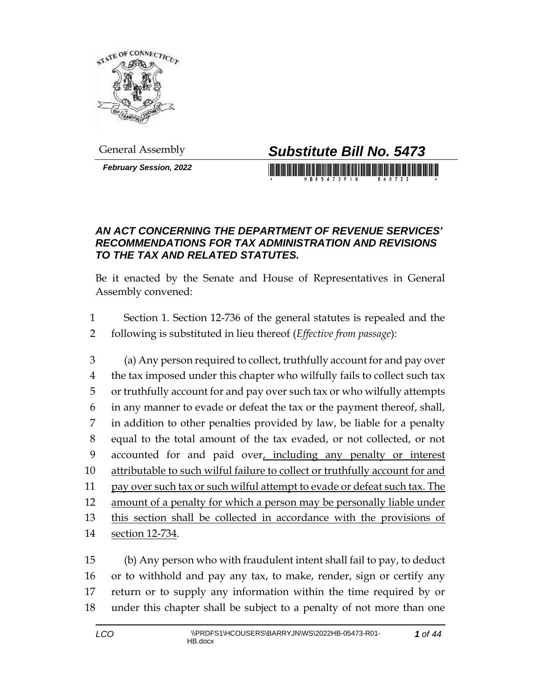

*February Session, 2022*

# General Assembly *Substitute Bill No. 5473*

#### *AN ACT CONCERNING THE DEPARTMENT OF REVENUE SERVICES' RECOMMENDATIONS FOR TAX ADMINISTRATION AND REVISIONS TO THE TAX AND RELATED STATUTES.*

Be it enacted by the Senate and House of Representatives in General Assembly convened:

 Section 1. Section 12-736 of the general statutes is repealed and the following is substituted in lieu thereof (*Effective from passage*):

 (a) Any person required to collect, truthfully account for and pay over 4 the tax imposed under this chapter who wilfully fails to collect such tax or truthfully account for and pay over such tax or who wilfully attempts in any manner to evade or defeat the tax or the payment thereof, shall, in addition to other penalties provided by law, be liable for a penalty equal to the total amount of the tax evaded, or not collected, or not accounted for and paid over, including any penalty or interest attributable to such wilful failure to collect or truthfully account for and pay over such tax or such wilful attempt to evade or defeat such tax. The amount of a penalty for which a person may be personally liable under this section shall be collected in accordance with the provisions of section 12-734.

 (b) Any person who with fraudulent intent shall fail to pay, to deduct or to withhold and pay any tax, to make, render, sign or certify any return or to supply any information within the time required by or under this chapter shall be subject to a penalty of not more than one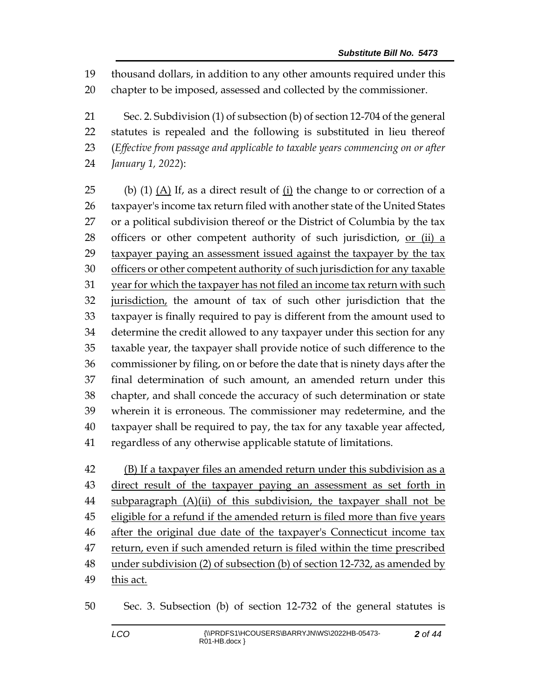thousand dollars, in addition to any other amounts required under this

chapter to be imposed, assessed and collected by the commissioner.

 Sec. 2. Subdivision (1) of subsection (b) of section 12-704 of the general statutes is repealed and the following is substituted in lieu thereof (*Effective from passage and applicable to taxable years commencing on or after January 1, 2022*):

 (b) (1) (A) If, as a direct result of (i) the change to or correction of a taxpayer's income tax return filed with another state of the United States or a political subdivision thereof or the District of Columbia by the tax officers or other competent authority of such jurisdiction, or (ii) a taxpayer paying an assessment issued against the taxpayer by the tax officers or other competent authority of such jurisdiction for any taxable 31 year for which the taxpayer has not filed an income tax return with such jurisdiction, the amount of tax of such other jurisdiction that the taxpayer is finally required to pay is different from the amount used to determine the credit allowed to any taxpayer under this section for any taxable year, the taxpayer shall provide notice of such difference to the commissioner by filing, on or before the date that is ninety days after the final determination of such amount, an amended return under this chapter, and shall concede the accuracy of such determination or state wherein it is erroneous. The commissioner may redetermine, and the taxpayer shall be required to pay, the tax for any taxable year affected, regardless of any otherwise applicable statute of limitations.

42 (B) If a taxpayer files an amended return under this subdivision as a direct result of the taxpayer paying an assessment as set forth in 44 subparagraph (A)(ii) of this subdivision, the taxpayer shall not be eligible for a refund if the amended return is filed more than five years 46 after the original due date of the taxpayer's Connecticut income tax 47 return, even if such amended return is filed within the time prescribed under subdivision (2) of subsection (b) of section 12-732, as amended by this act.

Sec. 3. Subsection (b) of section 12-732 of the general statutes is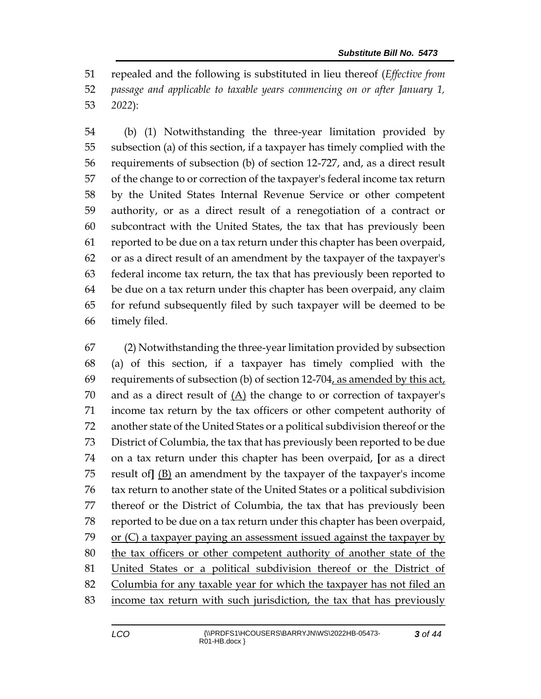repealed and the following is substituted in lieu thereof (*Effective from passage and applicable to taxable years commencing on or after January 1, 2022*):

 (b) (1) Notwithstanding the three-year limitation provided by subsection (a) of this section, if a taxpayer has timely complied with the requirements of subsection (b) of section 12-727, and, as a direct result of the change to or correction of the taxpayer's federal income tax return by the United States Internal Revenue Service or other competent authority, or as a direct result of a renegotiation of a contract or subcontract with the United States, the tax that has previously been reported to be due on a tax return under this chapter has been overpaid, or as a direct result of an amendment by the taxpayer of the taxpayer's federal income tax return, the tax that has previously been reported to be due on a tax return under this chapter has been overpaid, any claim for refund subsequently filed by such taxpayer will be deemed to be timely filed.

 (2) Notwithstanding the three-year limitation provided by subsection (a) of this section, if a taxpayer has timely complied with the requirements of subsection (b) of section 12-704, as amended by this act, and as a direct result of (A) the change to or correction of taxpayer's income tax return by the tax officers or other competent authority of another state of the United States or a political subdivision thereof or the District of Columbia, the tax that has previously been reported to be due on a tax return under this chapter has been overpaid, **[**or as a direct result of**]** (B) an amendment by the taxpayer of the taxpayer's income tax return to another state of the United States or a political subdivision thereof or the District of Columbia, the tax that has previously been reported to be due on a tax return under this chapter has been overpaid, or (C) a taxpayer paying an assessment issued against the taxpayer by the tax officers or other competent authority of another state of the United States or a political subdivision thereof or the District of Columbia for any taxable year for which the taxpayer has not filed an income tax return with such jurisdiction, the tax that has previously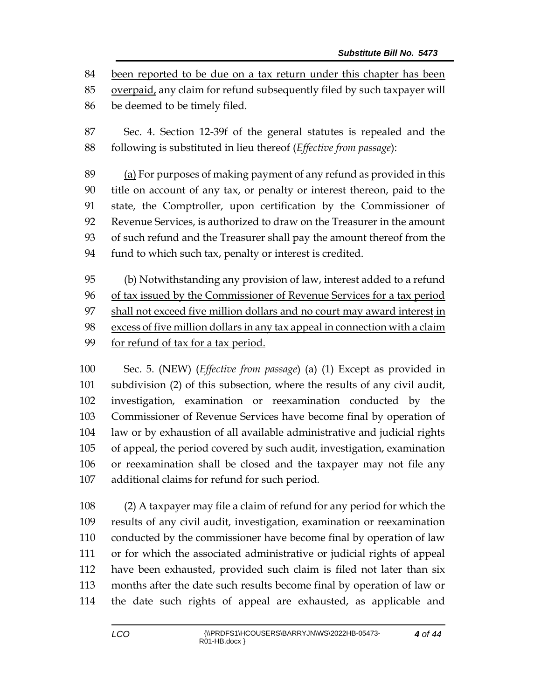been reported to be due on a tax return under this chapter has been

overpaid, any claim for refund subsequently filed by such taxpayer will

be deemed to be timely filed.

 Sec. 4. Section 12-39f of the general statutes is repealed and the following is substituted in lieu thereof (*Effective from passage*):

 (a) For purposes of making payment of any refund as provided in this title on account of any tax, or penalty or interest thereon, paid to the state, the Comptroller, upon certification by the Commissioner of Revenue Services, is authorized to draw on the Treasurer in the amount of such refund and the Treasurer shall pay the amount thereof from the fund to which such tax, penalty or interest is credited.

 (b) Notwithstanding any provision of law, interest added to a refund of tax issued by the Commissioner of Revenue Services for a tax period shall not exceed five million dollars and no court may award interest in excess of five million dollars in any tax appeal in connection with a claim for refund of tax for a tax period.

 Sec. 5. (NEW) (*Effective from passage*) (a) (1) Except as provided in subdivision (2) of this subsection, where the results of any civil audit, investigation, examination or reexamination conducted by the Commissioner of Revenue Services have become final by operation of law or by exhaustion of all available administrative and judicial rights of appeal, the period covered by such audit, investigation, examination or reexamination shall be closed and the taxpayer may not file any additional claims for refund for such period.

 (2) A taxpayer may file a claim of refund for any period for which the results of any civil audit, investigation, examination or reexamination conducted by the commissioner have become final by operation of law or for which the associated administrative or judicial rights of appeal have been exhausted, provided such claim is filed not later than six months after the date such results become final by operation of law or the date such rights of appeal are exhausted, as applicable and

*of 44*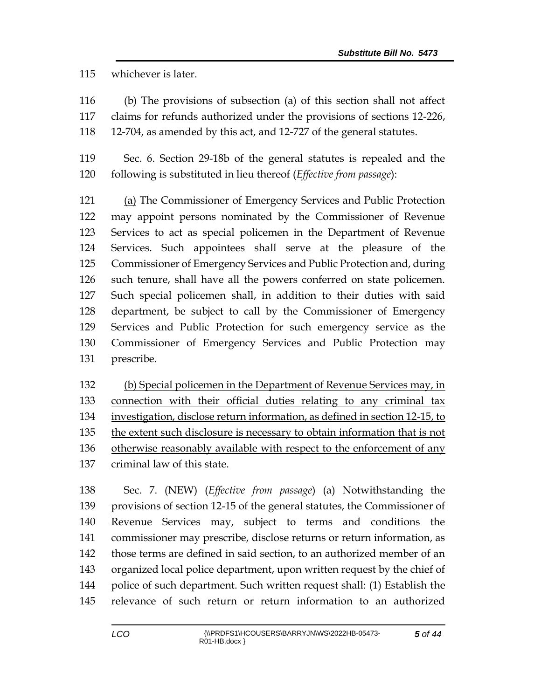whichever is later.

 (b) The provisions of subsection (a) of this section shall not affect claims for refunds authorized under the provisions of sections 12-226,

12-704, as amended by this act, and 12-727 of the general statutes.

 Sec. 6. Section 29-18b of the general statutes is repealed and the following is substituted in lieu thereof (*Effective from passage*):

 (a) The Commissioner of Emergency Services and Public Protection may appoint persons nominated by the Commissioner of Revenue Services to act as special policemen in the Department of Revenue Services. Such appointees shall serve at the pleasure of the Commissioner of Emergency Services and Public Protection and, during such tenure, shall have all the powers conferred on state policemen. Such special policemen shall, in addition to their duties with said department, be subject to call by the Commissioner of Emergency Services and Public Protection for such emergency service as the Commissioner of Emergency Services and Public Protection may prescribe.

 (b) Special policemen in the Department of Revenue Services may, in connection with their official duties relating to any criminal tax investigation, disclose return information, as defined in section 12-15, to the extent such disclosure is necessary to obtain information that is not otherwise reasonably available with respect to the enforcement of any criminal law of this state.

 Sec. 7. (NEW) (*Effective from passage*) (a) Notwithstanding the provisions of section 12-15 of the general statutes, the Commissioner of Revenue Services may, subject to terms and conditions the commissioner may prescribe, disclose returns or return information, as those terms are defined in said section, to an authorized member of an organized local police department, upon written request by the chief of police of such department. Such written request shall: (1) Establish the relevance of such return or return information to an authorized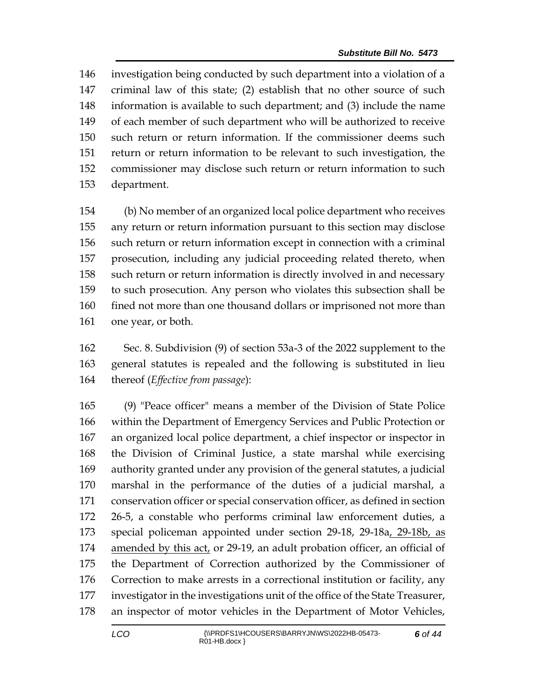investigation being conducted by such department into a violation of a criminal law of this state; (2) establish that no other source of such information is available to such department; and (3) include the name of each member of such department who will be authorized to receive such return or return information. If the commissioner deems such return or return information to be relevant to such investigation, the commissioner may disclose such return or return information to such department.

 (b) No member of an organized local police department who receives any return or return information pursuant to this section may disclose such return or return information except in connection with a criminal prosecution, including any judicial proceeding related thereto, when such return or return information is directly involved in and necessary to such prosecution. Any person who violates this subsection shall be fined not more than one thousand dollars or imprisoned not more than one year, or both.

 Sec. 8. Subdivision (9) of section 53a-3 of the 2022 supplement to the general statutes is repealed and the following is substituted in lieu thereof (*Effective from passage*):

 (9) "Peace officer" means a member of the Division of State Police within the Department of Emergency Services and Public Protection or an organized local police department, a chief inspector or inspector in the Division of Criminal Justice, a state marshal while exercising authority granted under any provision of the general statutes, a judicial marshal in the performance of the duties of a judicial marshal, a conservation officer or special conservation officer, as defined in section 26-5, a constable who performs criminal law enforcement duties, a special policeman appointed under section 29-18, 29-18a, 29-18b, as 174 amended by this act, or 29-19, an adult probation officer, an official of the Department of Correction authorized by the Commissioner of Correction to make arrests in a correctional institution or facility, any investigator in the investigations unit of the office of the State Treasurer, an inspector of motor vehicles in the Department of Motor Vehicles,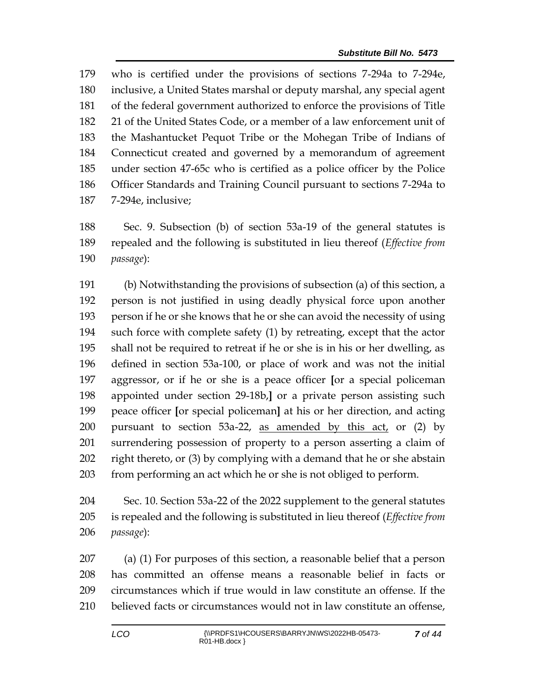who is certified under the provisions of sections 7-294a to 7-294e, inclusive, a United States marshal or deputy marshal, any special agent of the federal government authorized to enforce the provisions of Title 21 of the United States Code, or a member of a law enforcement unit of the Mashantucket Pequot Tribe or the Mohegan Tribe of Indians of Connecticut created and governed by a memorandum of agreement under section 47-65c who is certified as a police officer by the Police Officer Standards and Training Council pursuant to sections 7-294a to 7-294e, inclusive;

 Sec. 9. Subsection (b) of section 53a-19 of the general statutes is repealed and the following is substituted in lieu thereof (*Effective from passage*):

 (b) Notwithstanding the provisions of subsection (a) of this section, a person is not justified in using deadly physical force upon another person if he or she knows that he or she can avoid the necessity of using such force with complete safety (1) by retreating, except that the actor shall not be required to retreat if he or she is in his or her dwelling, as defined in section 53a-100, or place of work and was not the initial aggressor, or if he or she is a peace officer **[**or a special policeman appointed under section 29-18b,**]** or a private person assisting such peace officer **[**or special policeman**]** at his or her direction, and acting pursuant to section 53a-22, as amended by this act, or (2) by surrendering possession of property to a person asserting a claim of right thereto, or (3) by complying with a demand that he or she abstain from performing an act which he or she is not obliged to perform.

 Sec. 10. Section 53a-22 of the 2022 supplement to the general statutes is repealed and the following is substituted in lieu thereof (*Effective from passage*):

 (a) (1) For purposes of this section, a reasonable belief that a person has committed an offense means a reasonable belief in facts or circumstances which if true would in law constitute an offense. If the believed facts or circumstances would not in law constitute an offense,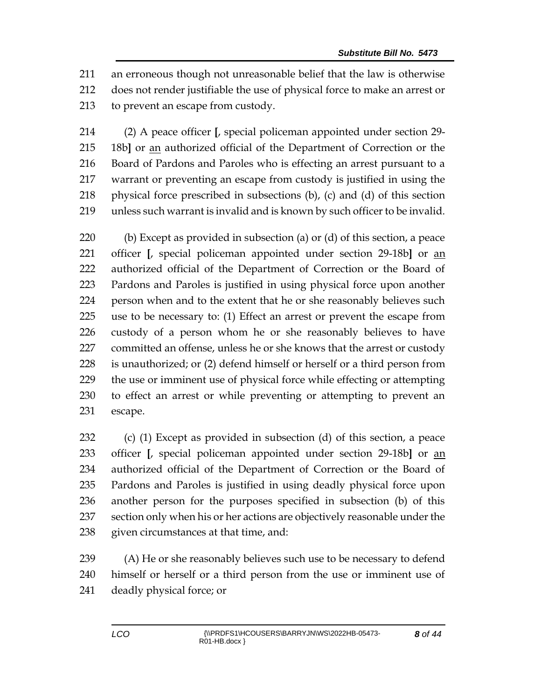an erroneous though not unreasonable belief that the law is otherwise does not render justifiable the use of physical force to make an arrest or to prevent an escape from custody.

 (2) A peace officer **[**, special policeman appointed under section 29- 18b**]** or an authorized official of the Department of Correction or the Board of Pardons and Paroles who is effecting an arrest pursuant to a warrant or preventing an escape from custody is justified in using the physical force prescribed in subsections (b), (c) and (d) of this section unless such warrant is invalid and is known by such officer to be invalid.

 (b) Except as provided in subsection (a) or (d) of this section, a peace officer **[**, special policeman appointed under section 29-18b**]** or an authorized official of the Department of Correction or the Board of Pardons and Paroles is justified in using physical force upon another person when and to the extent that he or she reasonably believes such use to be necessary to: (1) Effect an arrest or prevent the escape from custody of a person whom he or she reasonably believes to have committed an offense, unless he or she knows that the arrest or custody is unauthorized; or (2) defend himself or herself or a third person from the use or imminent use of physical force while effecting or attempting to effect an arrest or while preventing or attempting to prevent an escape.

 (c) (1) Except as provided in subsection (d) of this section, a peace officer **[**, special policeman appointed under section 29-18b**]** or an authorized official of the Department of Correction or the Board of Pardons and Paroles is justified in using deadly physical force upon another person for the purposes specified in subsection (b) of this section only when his or her actions are objectively reasonable under the given circumstances at that time, and:

 (A) He or she reasonably believes such use to be necessary to defend himself or herself or a third person from the use or imminent use of deadly physical force; or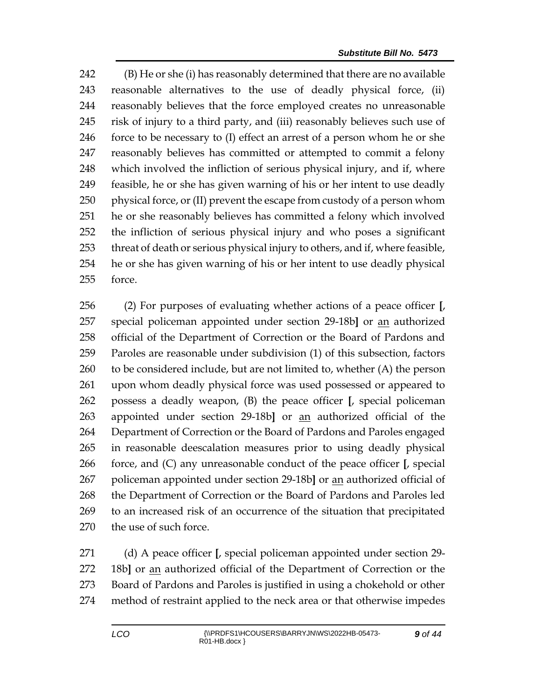(B) He or she (i) has reasonably determined that there are no available reasonable alternatives to the use of deadly physical force, (ii) reasonably believes that the force employed creates no unreasonable risk of injury to a third party, and (iii) reasonably believes such use of force to be necessary to (I) effect an arrest of a person whom he or she reasonably believes has committed or attempted to commit a felony which involved the infliction of serious physical injury, and if, where feasible, he or she has given warning of his or her intent to use deadly physical force, or (II) prevent the escape from custody of a person whom he or she reasonably believes has committed a felony which involved the infliction of serious physical injury and who poses a significant threat of death or serious physical injury to others, and if, where feasible, he or she has given warning of his or her intent to use deadly physical force.

 (2) For purposes of evaluating whether actions of a peace officer **[**, special policeman appointed under section 29-18b**]** or an authorized official of the Department of Correction or the Board of Pardons and Paroles are reasonable under subdivision (1) of this subsection, factors to be considered include, but are not limited to, whether (A) the person upon whom deadly physical force was used possessed or appeared to possess a deadly weapon, (B) the peace officer **[**, special policeman appointed under section 29-18b**]** or an authorized official of the Department of Correction or the Board of Pardons and Paroles engaged in reasonable deescalation measures prior to using deadly physical force, and (C) any unreasonable conduct of the peace officer **[**, special policeman appointed under section 29-18b**]** or an authorized official of the Department of Correction or the Board of Pardons and Paroles led to an increased risk of an occurrence of the situation that precipitated the use of such force.

 (d) A peace officer **[**, special policeman appointed under section 29- 18b**]** or an authorized official of the Department of Correction or the Board of Pardons and Paroles is justified in using a chokehold or other method of restraint applied to the neck area or that otherwise impedes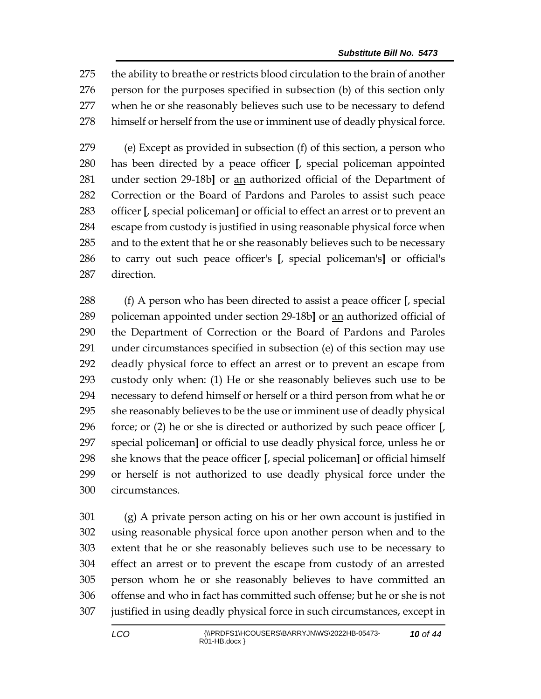the ability to breathe or restricts blood circulation to the brain of another person for the purposes specified in subsection (b) of this section only when he or she reasonably believes such use to be necessary to defend himself or herself from the use or imminent use of deadly physical force.

 (e) Except as provided in subsection (f) of this section, a person who has been directed by a peace officer **[**, special policeman appointed under section 29-18b**]** or an authorized official of the Department of Correction or the Board of Pardons and Paroles to assist such peace officer **[**, special policeman**]** or official to effect an arrest or to prevent an escape from custody is justified in using reasonable physical force when and to the extent that he or she reasonably believes such to be necessary to carry out such peace officer's **[**, special policeman's**]** or official's direction.

 (f) A person who has been directed to assist a peace officer **[**, special policeman appointed under section 29-18b**]** or an authorized official of the Department of Correction or the Board of Pardons and Paroles under circumstances specified in subsection (e) of this section may use deadly physical force to effect an arrest or to prevent an escape from custody only when: (1) He or she reasonably believes such use to be necessary to defend himself or herself or a third person from what he or she reasonably believes to be the use or imminent use of deadly physical force; or (2) he or she is directed or authorized by such peace officer **[**, special policeman**]** or official to use deadly physical force, unless he or she knows that the peace officer **[**, special policeman**]** or official himself or herself is not authorized to use deadly physical force under the circumstances.

 (g) A private person acting on his or her own account is justified in using reasonable physical force upon another person when and to the extent that he or she reasonably believes such use to be necessary to effect an arrest or to prevent the escape from custody of an arrested person whom he or she reasonably believes to have committed an offense and who in fact has committed such offense; but he or she is not justified in using deadly physical force in such circumstances, except in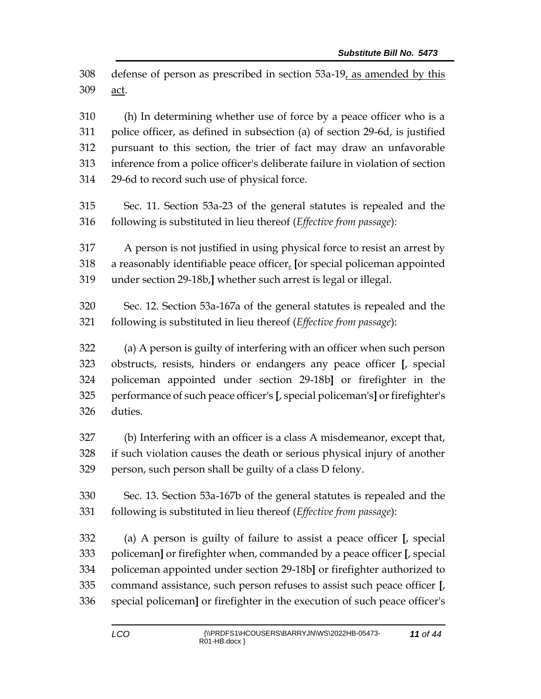defense of person as prescribed in section 53a-19, as amended by this act.

 (h) In determining whether use of force by a peace officer who is a police officer, as defined in subsection (a) of section 29-6d, is justified pursuant to this section, the trier of fact may draw an unfavorable inference from a police officer's deliberate failure in violation of section 29-6d to record such use of physical force.

 Sec. 11. Section 53a-23 of the general statutes is repealed and the following is substituted in lieu thereof (*Effective from passage*):

 A person is not justified in using physical force to resist an arrest by a reasonably identifiable peace officer, **[**or special policeman appointed under section 29-18b,**]** whether such arrest is legal or illegal.

 Sec. 12. Section 53a-167a of the general statutes is repealed and the following is substituted in lieu thereof (*Effective from passage*):

 (a) A person is guilty of interfering with an officer when such person obstructs, resists, hinders or endangers any peace officer **[**, special policeman appointed under section 29-18b**]** or firefighter in the performance of such peace officer's **[**, special policeman's**]** or firefighter's duties.

 (b) Interfering with an officer is a class A misdemeanor, except that, if such violation causes the death or serious physical injury of another person, such person shall be guilty of a class D felony.

 Sec. 13. Section 53a-167b of the general statutes is repealed and the following is substituted in lieu thereof (*Effective from passage*):

 (a) A person is guilty of failure to assist a peace officer **[**, special policeman**]** or firefighter when, commanded by a peace officer **[**, special policeman appointed under section 29-18b**]** or firefighter authorized to command assistance, such person refuses to assist such peace officer **[**, special policeman**]** or firefighter in the execution of such peace officer's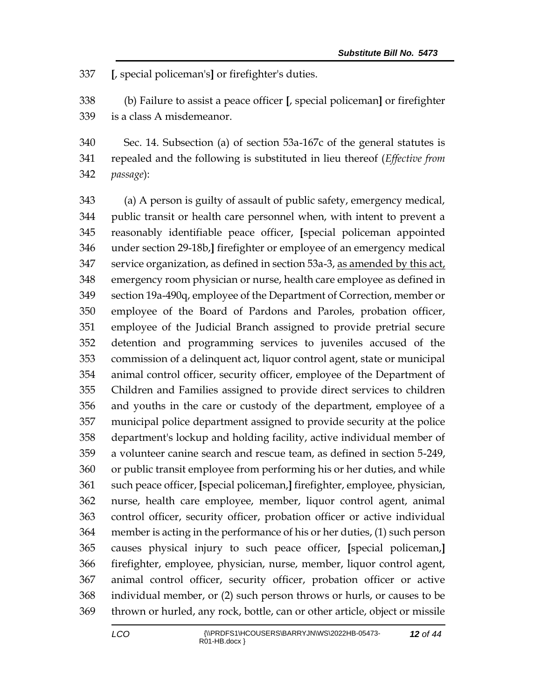**[**, special policeman's**]** or firefighter's duties.

 (b) Failure to assist a peace officer **[**, special policeman**]** or firefighter is a class A misdemeanor.

 Sec. 14. Subsection (a) of section 53a-167c of the general statutes is repealed and the following is substituted in lieu thereof (*Effective from passage*):

 (a) A person is guilty of assault of public safety, emergency medical, public transit or health care personnel when, with intent to prevent a reasonably identifiable peace officer, **[**special policeman appointed under section 29-18b,**]** firefighter or employee of an emergency medical service organization, as defined in section 53a-3, as amended by this act, emergency room physician or nurse, health care employee as defined in section 19a-490q, employee of the Department of Correction, member or employee of the Board of Pardons and Paroles, probation officer, employee of the Judicial Branch assigned to provide pretrial secure detention and programming services to juveniles accused of the commission of a delinquent act, liquor control agent, state or municipal animal control officer, security officer, employee of the Department of Children and Families assigned to provide direct services to children and youths in the care or custody of the department, employee of a municipal police department assigned to provide security at the police department's lockup and holding facility, active individual member of a volunteer canine search and rescue team, as defined in section 5-249, or public transit employee from performing his or her duties, and while such peace officer, **[**special policeman,**]** firefighter, employee, physician, nurse, health care employee, member, liquor control agent, animal control officer, security officer, probation officer or active individual member is acting in the performance of his or her duties, (1) such person causes physical injury to such peace officer, **[**special policeman,**]** firefighter, employee, physician, nurse, member, liquor control agent, animal control officer, security officer, probation officer or active individual member, or (2) such person throws or hurls, or causes to be thrown or hurled, any rock, bottle, can or other article, object or missile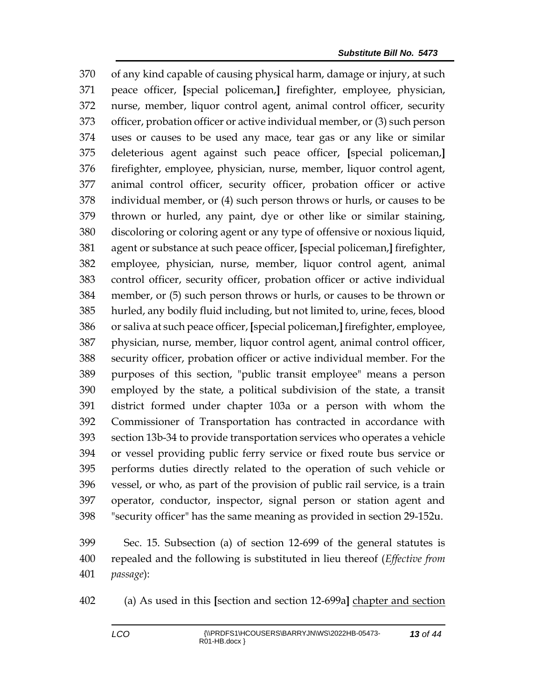of any kind capable of causing physical harm, damage or injury, at such peace officer, **[**special policeman,**]** firefighter, employee, physician, nurse, member, liquor control agent, animal control officer, security officer, probation officer or active individual member, or (3) such person uses or causes to be used any mace, tear gas or any like or similar deleterious agent against such peace officer, **[**special policeman,**]** firefighter, employee, physician, nurse, member, liquor control agent, animal control officer, security officer, probation officer or active individual member, or (4) such person throws or hurls, or causes to be thrown or hurled, any paint, dye or other like or similar staining, discoloring or coloring agent or any type of offensive or noxious liquid, agent or substance at such peace officer, **[**special policeman,**]** firefighter, employee, physician, nurse, member, liquor control agent, animal control officer, security officer, probation officer or active individual member, or (5) such person throws or hurls, or causes to be thrown or hurled, any bodily fluid including, but not limited to, urine, feces, blood or saliva at such peace officer, **[**special policeman,**]** firefighter, employee, physician, nurse, member, liquor control agent, animal control officer, security officer, probation officer or active individual member. For the purposes of this section, "public transit employee" means a person employed by the state, a political subdivision of the state, a transit district formed under chapter 103a or a person with whom the Commissioner of Transportation has contracted in accordance with section 13b-34 to provide transportation services who operates a vehicle or vessel providing public ferry service or fixed route bus service or performs duties directly related to the operation of such vehicle or vessel, or who, as part of the provision of public rail service, is a train operator, conductor, inspector, signal person or station agent and "security officer" has the same meaning as provided in section 29-152u.

 Sec. 15. Subsection (a) of section 12-699 of the general statutes is repealed and the following is substituted in lieu thereof (*Effective from passage*):

(a) As used in this **[**section and section 12-699a**]** chapter and section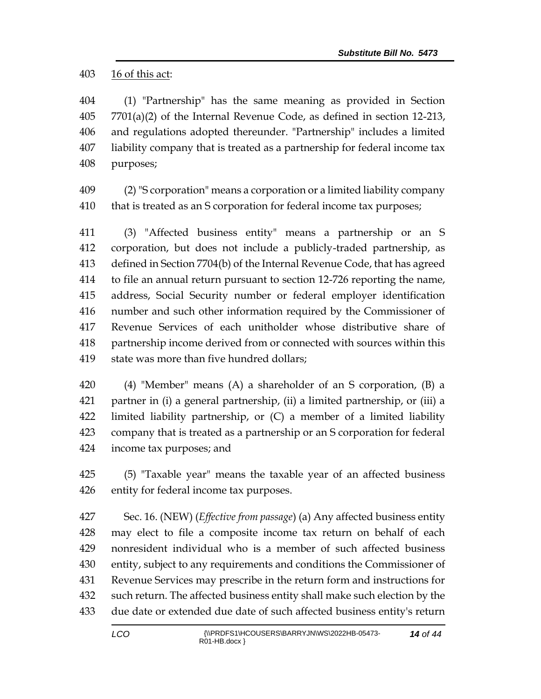16 of this act:

 (1) "Partnership" has the same meaning as provided in Section  $7701(a)(2)$  of the Internal Revenue Code, as defined in section 12-213, and regulations adopted thereunder. "Partnership" includes a limited liability company that is treated as a partnership for federal income tax purposes;

 (2) "S corporation" means a corporation or a limited liability company that is treated as an S corporation for federal income tax purposes;

 (3) "Affected business entity" means a partnership or an S corporation, but does not include a publicly-traded partnership, as defined in Section 7704(b) of the Internal Revenue Code, that has agreed to file an annual return pursuant to section 12-726 reporting the name, address, Social Security number or federal employer identification number and such other information required by the Commissioner of Revenue Services of each unitholder whose distributive share of partnership income derived from or connected with sources within this state was more than five hundred dollars;

 (4) "Member" means (A) a shareholder of an S corporation, (B) a partner in (i) a general partnership, (ii) a limited partnership, or (iii) a limited liability partnership, or (C) a member of a limited liability company that is treated as a partnership or an S corporation for federal income tax purposes; and

 (5) "Taxable year" means the taxable year of an affected business entity for federal income tax purposes.

 Sec. 16. (NEW) (*Effective from passage*) (a) Any affected business entity may elect to file a composite income tax return on behalf of each nonresident individual who is a member of such affected business entity, subject to any requirements and conditions the Commissioner of Revenue Services may prescribe in the return form and instructions for such return. The affected business entity shall make such election by the due date or extended due date of such affected business entity's return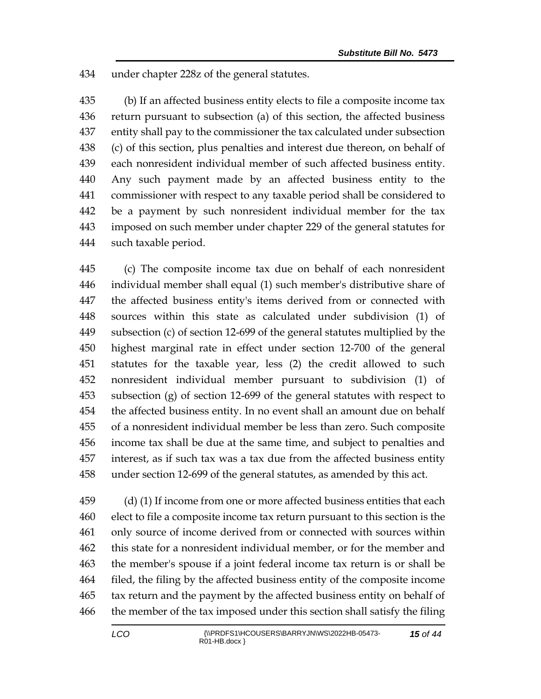under chapter 228z of the general statutes.

 (b) If an affected business entity elects to file a composite income tax return pursuant to subsection (a) of this section, the affected business entity shall pay to the commissioner the tax calculated under subsection (c) of this section, plus penalties and interest due thereon, on behalf of each nonresident individual member of such affected business entity. Any such payment made by an affected business entity to the commissioner with respect to any taxable period shall be considered to be a payment by such nonresident individual member for the tax imposed on such member under chapter 229 of the general statutes for such taxable period.

 (c) The composite income tax due on behalf of each nonresident individual member shall equal (1) such member's distributive share of the affected business entity's items derived from or connected with sources within this state as calculated under subdivision (1) of subsection (c) of section 12-699 of the general statutes multiplied by the highest marginal rate in effect under section 12-700 of the general statutes for the taxable year, less (2) the credit allowed to such nonresident individual member pursuant to subdivision (1) of subsection (g) of section 12-699 of the general statutes with respect to the affected business entity. In no event shall an amount due on behalf of a nonresident individual member be less than zero. Such composite income tax shall be due at the same time, and subject to penalties and interest, as if such tax was a tax due from the affected business entity under section 12-699 of the general statutes, as amended by this act.

 (d) (1) If income from one or more affected business entities that each elect to file a composite income tax return pursuant to this section is the only source of income derived from or connected with sources within this state for a nonresident individual member, or for the member and the member's spouse if a joint federal income tax return is or shall be filed, the filing by the affected business entity of the composite income tax return and the payment by the affected business entity on behalf of the member of the tax imposed under this section shall satisfy the filing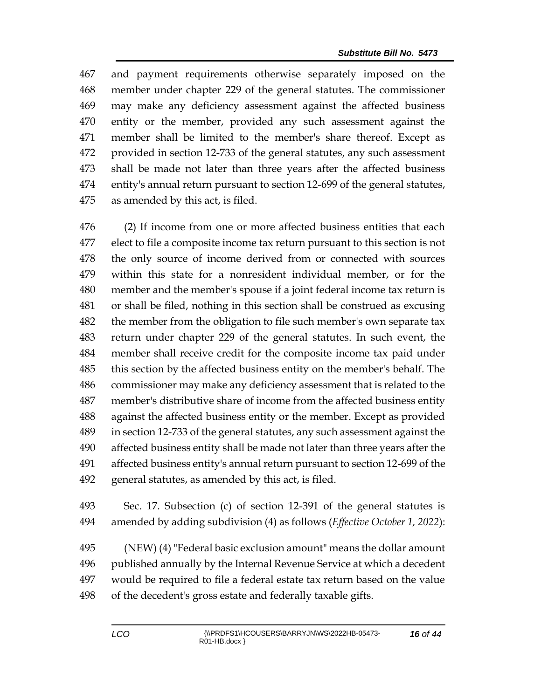and payment requirements otherwise separately imposed on the member under chapter 229 of the general statutes. The commissioner may make any deficiency assessment against the affected business entity or the member, provided any such assessment against the member shall be limited to the member's share thereof. Except as provided in section 12-733 of the general statutes, any such assessment shall be made not later than three years after the affected business entity's annual return pursuant to section 12-699 of the general statutes, as amended by this act, is filed.

 (2) If income from one or more affected business entities that each elect to file a composite income tax return pursuant to this section is not the only source of income derived from or connected with sources within this state for a nonresident individual member, or for the member and the member's spouse if a joint federal income tax return is or shall be filed, nothing in this section shall be construed as excusing 482 the member from the obligation to file such member's own separate tax return under chapter 229 of the general statutes. In such event, the member shall receive credit for the composite income tax paid under this section by the affected business entity on the member's behalf. The commissioner may make any deficiency assessment that is related to the member's distributive share of income from the affected business entity against the affected business entity or the member. Except as provided in section 12-733 of the general statutes, any such assessment against the affected business entity shall be made not later than three years after the affected business entity's annual return pursuant to section 12-699 of the general statutes, as amended by this act, is filed.

 Sec. 17. Subsection (c) of section 12-391 of the general statutes is amended by adding subdivision (4) as follows (*Effective October 1, 2022*):

 (NEW) (4) "Federal basic exclusion amount" means the dollar amount published annually by the Internal Revenue Service at which a decedent would be required to file a federal estate tax return based on the value of the decedent's gross estate and federally taxable gifts.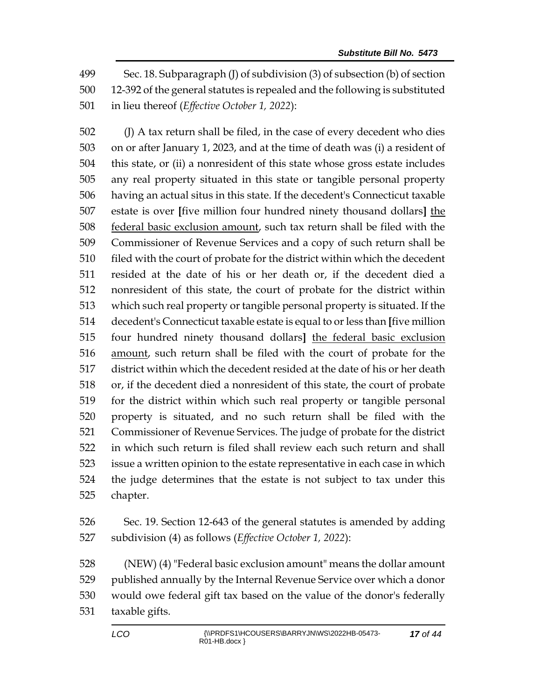Sec. 18. Subparagraph (J) of subdivision (3) of subsection (b) of section 12-392 of the general statutes is repealed and the following is substituted in lieu thereof (*Effective October 1, 2022*):

 (J) A tax return shall be filed, in the case of every decedent who dies on or after January 1, 2023, and at the time of death was (i) a resident of this state, or (ii) a nonresident of this state whose gross estate includes any real property situated in this state or tangible personal property having an actual situs in this state. If the decedent's Connecticut taxable estate is over **[**five million four hundred ninety thousand dollars**]** the federal basic exclusion amount, such tax return shall be filed with the Commissioner of Revenue Services and a copy of such return shall be 510 filed with the court of probate for the district within which the decedent resided at the date of his or her death or, if the decedent died a nonresident of this state, the court of probate for the district within which such real property or tangible personal property is situated. If the decedent's Connecticut taxable estate is equal to or less than **[**five million four hundred ninety thousand dollars**]** the federal basic exclusion amount, such return shall be filed with the court of probate for the district within which the decedent resided at the date of his or her death or, if the decedent died a nonresident of this state, the court of probate for the district within which such real property or tangible personal property is situated, and no such return shall be filed with the Commissioner of Revenue Services. The judge of probate for the district in which such return is filed shall review each such return and shall issue a written opinion to the estate representative in each case in which the judge determines that the estate is not subject to tax under this chapter.

 Sec. 19. Section 12-643 of the general statutes is amended by adding subdivision (4) as follows (*Effective October 1, 2022*):

 (NEW) (4) "Federal basic exclusion amount" means the dollar amount published annually by the Internal Revenue Service over which a donor would owe federal gift tax based on the value of the donor's federally taxable gifts.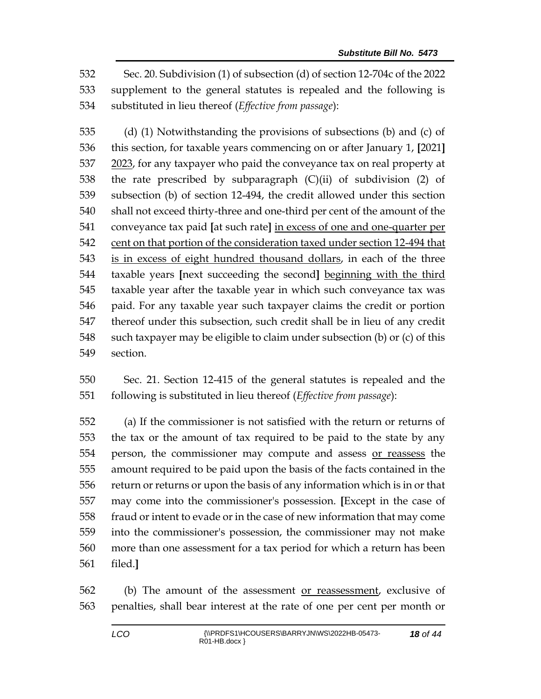Sec. 20. Subdivision (1) of subsection (d) of section 12-704c of the 2022 supplement to the general statutes is repealed and the following is substituted in lieu thereof (*Effective from passage*):

 (d) (1) Notwithstanding the provisions of subsections (b) and (c) of this section, for taxable years commencing on or after January 1, **[**2021**]** 537 2023, for any taxpayer who paid the conveyance tax on real property at the rate prescribed by subparagraph (C)(ii) of subdivision (2) of subsection (b) of section 12-494, the credit allowed under this section shall not exceed thirty-three and one-third per cent of the amount of the conveyance tax paid **[**at such rate**]** in excess of one and one-quarter per cent on that portion of the consideration taxed under section 12-494 that is in excess of eight hundred thousand dollars, in each of the three taxable years **[**next succeeding the second**]** beginning with the third taxable year after the taxable year in which such conveyance tax was paid. For any taxable year such taxpayer claims the credit or portion thereof under this subsection, such credit shall be in lieu of any credit such taxpayer may be eligible to claim under subsection (b) or (c) of this section.

 Sec. 21. Section 12-415 of the general statutes is repealed and the following is substituted in lieu thereof (*Effective from passage*):

 (a) If the commissioner is not satisfied with the return or returns of the tax or the amount of tax required to be paid to the state by any person, the commissioner may compute and assess or reassess the amount required to be paid upon the basis of the facts contained in the return or returns or upon the basis of any information which is in or that may come into the commissioner's possession. **[**Except in the case of fraud or intent to evade or in the case of new information that may come into the commissioner's possession, the commissioner may not make more than one assessment for a tax period for which a return has been filed.**]**

 (b) The amount of the assessment or reassessment, exclusive of penalties, shall bear interest at the rate of one per cent per month or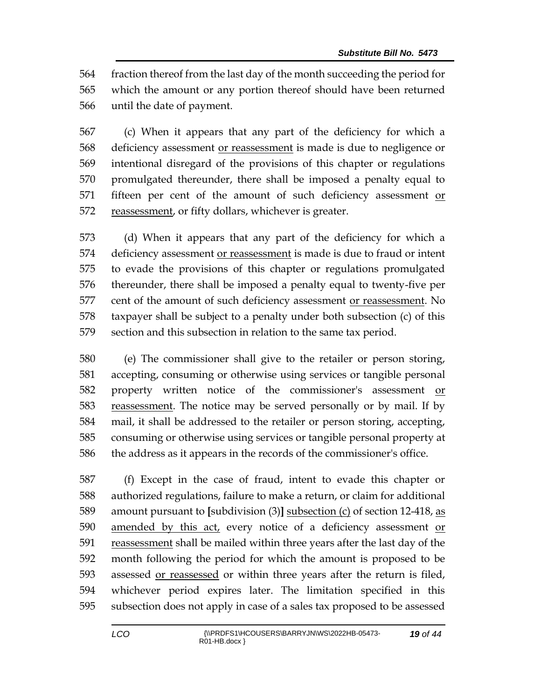fraction thereof from the last day of the month succeeding the period for which the amount or any portion thereof should have been returned until the date of payment.

 (c) When it appears that any part of the deficiency for which a 568 deficiency assessment or reassessment is made is due to negligence or intentional disregard of the provisions of this chapter or regulations promulgated thereunder, there shall be imposed a penalty equal to fifteen per cent of the amount of such deficiency assessment or reassessment, or fifty dollars, whichever is greater.

 (d) When it appears that any part of the deficiency for which a deficiency assessment or reassessment is made is due to fraud or intent to evade the provisions of this chapter or regulations promulgated thereunder, there shall be imposed a penalty equal to twenty-five per 577 cent of the amount of such deficiency assessment or reassessment. No taxpayer shall be subject to a penalty under both subsection (c) of this section and this subsection in relation to the same tax period.

 (e) The commissioner shall give to the retailer or person storing, accepting, consuming or otherwise using services or tangible personal property written notice of the commissioner's assessment or reassessment. The notice may be served personally or by mail. If by mail, it shall be addressed to the retailer or person storing, accepting, consuming or otherwise using services or tangible personal property at the address as it appears in the records of the commissioner's office.

 (f) Except in the case of fraud, intent to evade this chapter or authorized regulations, failure to make a return, or claim for additional amount pursuant to **[**subdivision (3)**]** subsection (c) of section 12-418, as amended by this act, every notice of a deficiency assessment or 591 reassessment shall be mailed within three years after the last day of the month following the period for which the amount is proposed to be assessed or reassessed or within three years after the return is filed, whichever period expires later. The limitation specified in this subsection does not apply in case of a sales tax proposed to be assessed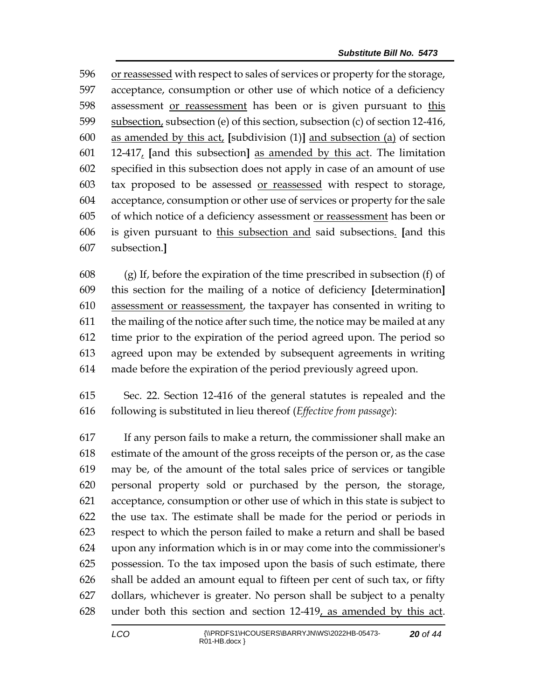or reassessed with respect to sales of services or property for the storage, acceptance, consumption or other use of which notice of a deficiency 598 assessment or reassessment has been or is given pursuant to this subsection, subsection (e) of this section, subsection (c) of section 12-416, as amended by this act, **[**subdivision (1)**]** and subsection (a) of section 12-417, **[**and this subsection**]** as amended by this act. The limitation specified in this subsection does not apply in case of an amount of use tax proposed to be assessed or reassessed with respect to storage, acceptance, consumption or other use of services or property for the sale of which notice of a deficiency assessment or reassessment has been or is given pursuant to this subsection and said subsections. **[**and this subsection.**]**

 (g) If, before the expiration of the time prescribed in subsection (f) of this section for the mailing of a notice of deficiency **[**determination**]** assessment or reassessment, the taxpayer has consented in writing to the mailing of the notice after such time, the notice may be mailed at any time prior to the expiration of the period agreed upon. The period so agreed upon may be extended by subsequent agreements in writing made before the expiration of the period previously agreed upon.

 Sec. 22. Section 12-416 of the general statutes is repealed and the following is substituted in lieu thereof (*Effective from passage*):

 If any person fails to make a return, the commissioner shall make an estimate of the amount of the gross receipts of the person or, as the case may be, of the amount of the total sales price of services or tangible personal property sold or purchased by the person, the storage, acceptance, consumption or other use of which in this state is subject to the use tax. The estimate shall be made for the period or periods in respect to which the person failed to make a return and shall be based upon any information which is in or may come into the commissioner's possession. To the tax imposed upon the basis of such estimate, there shall be added an amount equal to fifteen per cent of such tax, or fifty dollars, whichever is greater. No person shall be subject to a penalty under both this section and section 12-419, as amended by this act.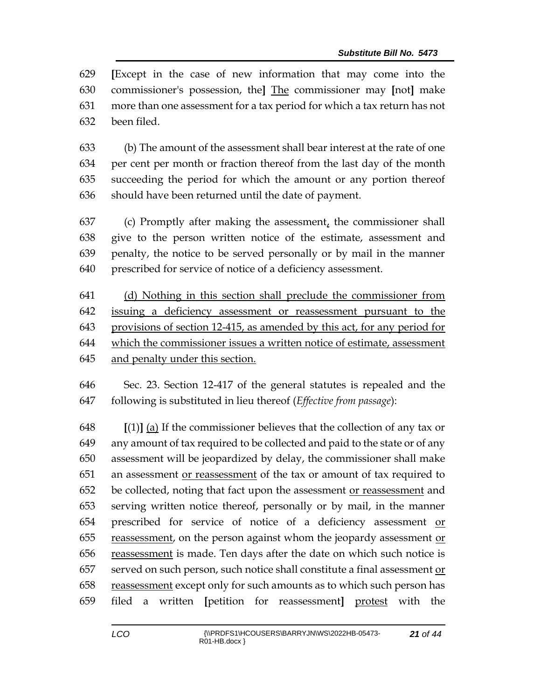**[**Except in the case of new information that may come into the commissioner's possession, the**]** The commissioner may **[**not**]** make more than one assessment for a tax period for which a tax return has not been filed.

 (b) The amount of the assessment shall bear interest at the rate of one per cent per month or fraction thereof from the last day of the month succeeding the period for which the amount or any portion thereof should have been returned until the date of payment.

 (c) Promptly after making the assessment, the commissioner shall give to the person written notice of the estimate, assessment and penalty, the notice to be served personally or by mail in the manner prescribed for service of notice of a deficiency assessment.

 (d) Nothing in this section shall preclude the commissioner from issuing a deficiency assessment or reassessment pursuant to the provisions of section 12-415, as amended by this act, for any period for which the commissioner issues a written notice of estimate, assessment and penalty under this section.

 Sec. 23. Section 12-417 of the general statutes is repealed and the following is substituted in lieu thereof (*Effective from passage*):

 **[**(1)**]** (a) If the commissioner believes that the collection of any tax or any amount of tax required to be collected and paid to the state or of any assessment will be jeopardized by delay, the commissioner shall make 651 an assessment or reassessment of the tax or amount of tax required to be collected, noting that fact upon the assessment or reassessment and serving written notice thereof, personally or by mail, in the manner 654 prescribed for service of notice of a deficiency assessment or reassessment, on the person against whom the jeopardy assessment or reassessment is made. Ten days after the date on which such notice is served on such person, such notice shall constitute a final assessment or 658 reassessment except only for such amounts as to which such person has filed a written **[**petition for reassessment**]** protest with the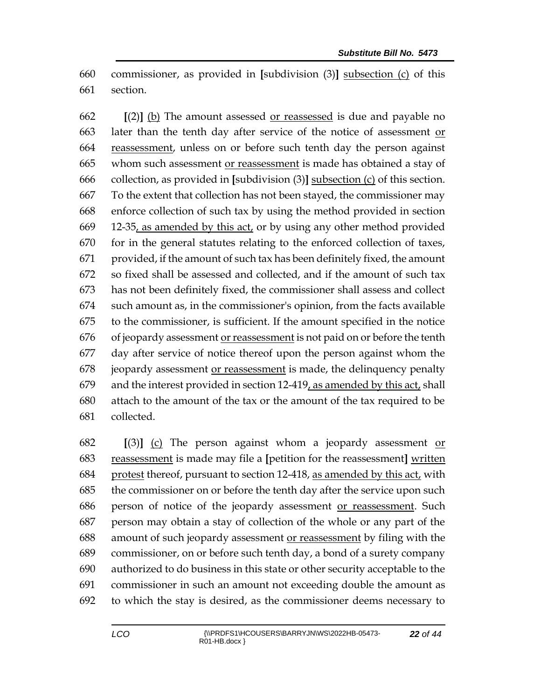commissioner, as provided in **[**subdivision (3)**]** subsection (c) of this section.

 **[**(2)**]** (b) The amount assessed or reassessed is due and payable no later than the tenth day after service of the notice of assessment or 664 reassessment, unless on or before such tenth day the person against whom such assessment or reassessment is made has obtained a stay of collection, as provided in **[**subdivision (3)**]** subsection (c) of this section. To the extent that collection has not been stayed, the commissioner may enforce collection of such tax by using the method provided in section 12-35, as amended by this act, or by using any other method provided for in the general statutes relating to the enforced collection of taxes, provided, if the amount of such tax has been definitely fixed, the amount so fixed shall be assessed and collected, and if the amount of such tax has not been definitely fixed, the commissioner shall assess and collect such amount as, in the commissioner's opinion, from the facts available to the commissioner, is sufficient. If the amount specified in the notice of jeopardy assessment or reassessment is not paid on or before the tenth day after service of notice thereof upon the person against whom the jeopardy assessment or reassessment is made, the delinquency penalty 679 and the interest provided in section  $12-419$ , as amended by this act, shall attach to the amount of the tax or the amount of the tax required to be collected.

 **[**(3)**]** (c) The person against whom a jeopardy assessment or reassessment is made may file a **[**petition for the reassessment**]** written protest thereof, pursuant to section 12-418, as amended by this act, with the commissioner on or before the tenth day after the service upon such person of notice of the jeopardy assessment or reassessment. Such person may obtain a stay of collection of the whole or any part of the amount of such jeopardy assessment or reassessment by filing with the commissioner, on or before such tenth day, a bond of a surety company authorized to do business in this state or other security acceptable to the commissioner in such an amount not exceeding double the amount as to which the stay is desired, as the commissioner deems necessary to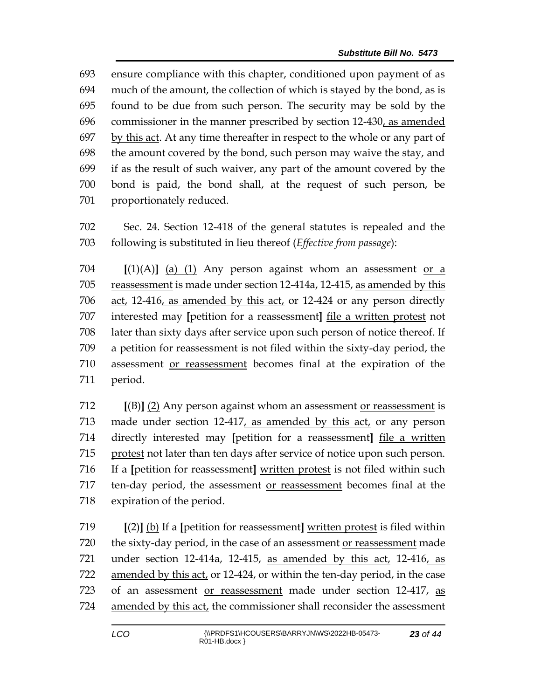ensure compliance with this chapter, conditioned upon payment of as much of the amount, the collection of which is stayed by the bond, as is found to be due from such person. The security may be sold by the commissioner in the manner prescribed by section 12-430, as amended 697 by this act. At any time thereafter in respect to the whole or any part of the amount covered by the bond, such person may waive the stay, and if as the result of such waiver, any part of the amount covered by the bond is paid, the bond shall, at the request of such person, be proportionately reduced.

 Sec. 24. Section 12-418 of the general statutes is repealed and the following is substituted in lieu thereof (*Effective from passage*):

 **[**(1)(A)**]** (a) (1) Any person against whom an assessment or a 705 reassessment is made under section 12-414a, 12-415, as amended by this act, 12-416, as amended by this act, or 12-424 or any person directly interested may **[**petition for a reassessment**]** file a written protest not later than sixty days after service upon such person of notice thereof. If a petition for reassessment is not filed within the sixty-day period, the assessment or reassessment becomes final at the expiration of the period.

 **[**(B)**]** (2) Any person against whom an assessment or reassessment is made under section 12-417, as amended by this act, or any person directly interested may **[**petition for a reassessment**]** file a written protest not later than ten days after service of notice upon such person. If a **[**petition for reassessment**]** written protest is not filed within such ten-day period, the assessment or reassessment becomes final at the expiration of the period.

 **[**(2)**]** (b) If a **[**petition for reassessment**]** written protest is filed within 720 the sixty-day period, in the case of an assessment or reassessment made under section 12-414a, 12-415, as amended by this act, 12-416, as amended by this act, or 12-424, or within the ten-day period, in the case of an assessment or reassessment made under section 12-417, as 724 amended by this act, the commissioner shall reconsider the assessment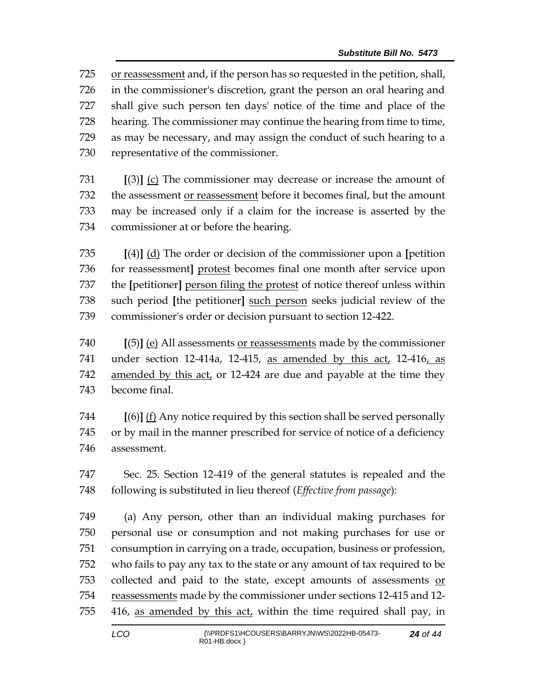or reassessment and, if the person has so requested in the petition, shall, in the commissioner's discretion, grant the person an oral hearing and shall give such person ten days' notice of the time and place of the hearing. The commissioner may continue the hearing from time to time, as may be necessary, and may assign the conduct of such hearing to a representative of the commissioner.

 **[**(3)**]** (c) The commissioner may decrease or increase the amount of the assessment or reassessment before it becomes final, but the amount may be increased only if a claim for the increase is asserted by the commissioner at or before the hearing.

 **[**(4)**]** (d) The order or decision of the commissioner upon a **[**petition for reassessment**]** protest becomes final one month after service upon the **[**petitioner**]** person filing the protest of notice thereof unless within such period **[**the petitioner**]** such person seeks judicial review of the commissioner's order or decision pursuant to section 12-422.

 **[**(5)**]** (e) All assessments or reassessments made by the commissioner 741 under section 12-414a, 12-415, as amended by this act, 12-416, as amended by this act, or 12-424 are due and payable at the time they become final.

 **[**(6)**]** (f) Any notice required by this section shall be served personally or by mail in the manner prescribed for service of notice of a deficiency assessment.

 Sec. 25. Section 12-419 of the general statutes is repealed and the following is substituted in lieu thereof (*Effective from passage*):

 (a) Any person, other than an individual making purchases for personal use or consumption and not making purchases for use or consumption in carrying on a trade, occupation, business or profession, who fails to pay any tax to the state or any amount of tax required to be collected and paid to the state, except amounts of assessments or 754 reassessments made by the commissioner under sections 12-415 and 12-416, as amended by this act, within the time required shall pay, in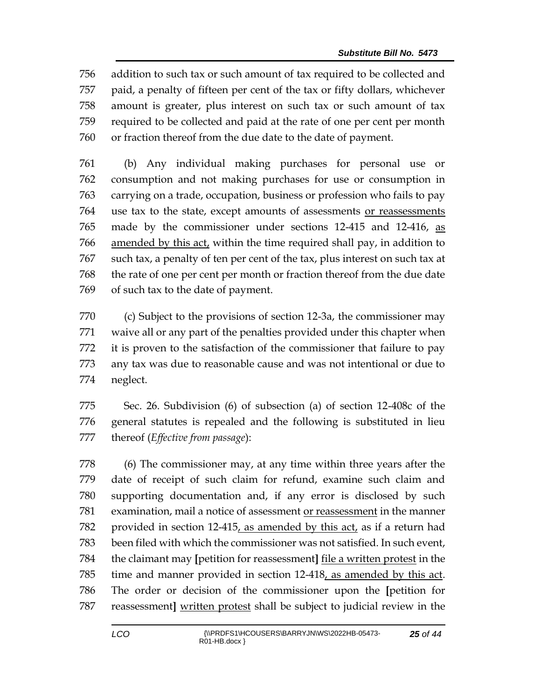addition to such tax or such amount of tax required to be collected and paid, a penalty of fifteen per cent of the tax or fifty dollars, whichever amount is greater, plus interest on such tax or such amount of tax required to be collected and paid at the rate of one per cent per month or fraction thereof from the due date to the date of payment.

 (b) Any individual making purchases for personal use or consumption and not making purchases for use or consumption in carrying on a trade, occupation, business or profession who fails to pay use tax to the state, except amounts of assessments or reassessments made by the commissioner under sections 12-415 and 12-416, as amended by this act, within the time required shall pay, in addition to such tax, a penalty of ten per cent of the tax, plus interest on such tax at the rate of one per cent per month or fraction thereof from the due date of such tax to the date of payment.

 (c) Subject to the provisions of section 12-3a, the commissioner may waive all or any part of the penalties provided under this chapter when it is proven to the satisfaction of the commissioner that failure to pay any tax was due to reasonable cause and was not intentional or due to neglect.

 Sec. 26. Subdivision (6) of subsection (a) of section 12-408c of the general statutes is repealed and the following is substituted in lieu thereof (*Effective from passage*):

 (6) The commissioner may, at any time within three years after the date of receipt of such claim for refund, examine such claim and supporting documentation and, if any error is disclosed by such examination, mail a notice of assessment or reassessment in the manner provided in section 12-415, as amended by this act, as if a return had been filed with which the commissioner was not satisfied. In such event, the claimant may **[**petition for reassessment**]** file a written protest in the time and manner provided in section 12-418, as amended by this act. The order or decision of the commissioner upon the **[**petition for reassessment**]** written protest shall be subject to judicial review in the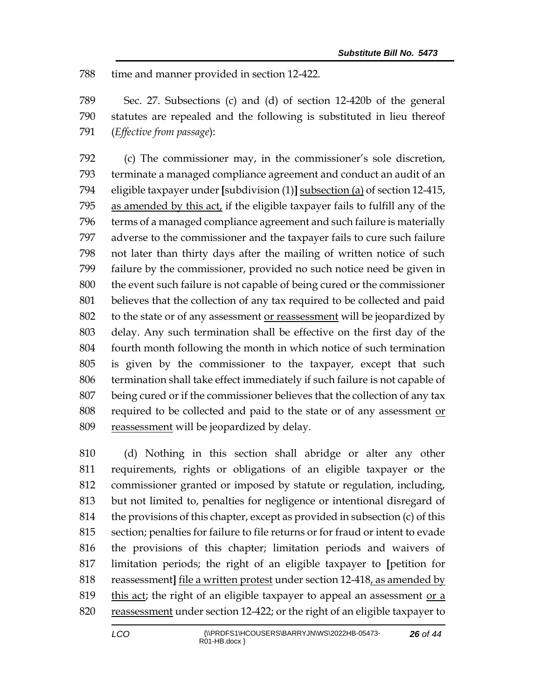time and manner provided in section 12-422.

 Sec. 27. Subsections (c) and (d) of section 12-420b of the general statutes are repealed and the following is substituted in lieu thereof (*Effective from passage*):

 (c) The commissioner may, in the commissioner's sole discretion, terminate a managed compliance agreement and conduct an audit of an eligible taxpayer under **[**subdivision (1)**]** subsection (a) of section 12-415, as amended by this act, if the eligible taxpayer fails to fulfill any of the terms of a managed compliance agreement and such failure is materially adverse to the commissioner and the taxpayer fails to cure such failure not later than thirty days after the mailing of written notice of such failure by the commissioner, provided no such notice need be given in the event such failure is not capable of being cured or the commissioner believes that the collection of any tax required to be collected and paid to the state or of any assessment or reassessment will be jeopardized by delay. Any such termination shall be effective on the first day of the fourth month following the month in which notice of such termination is given by the commissioner to the taxpayer, except that such termination shall take effect immediately if such failure is not capable of being cured or if the commissioner believes that the collection of any tax 808 required to be collected and paid to the state or of any assessment or reassessment will be jeopardized by delay.

 (d) Nothing in this section shall abridge or alter any other requirements, rights or obligations of an eligible taxpayer or the commissioner granted or imposed by statute or regulation, including, but not limited to, penalties for negligence or intentional disregard of the provisions of this chapter, except as provided in subsection (c) of this section; penalties for failure to file returns or for fraud or intent to evade the provisions of this chapter; limitation periods and waivers of limitation periods; the right of an eligible taxpayer to **[**petition for reassessment**]** file a written protest under section 12-418, as amended by 819 this act; the right of an eligible taxpayer to appeal an assessment or  $\alpha$ 820 reassessment under section 12-422; or the right of an eligible taxpayer to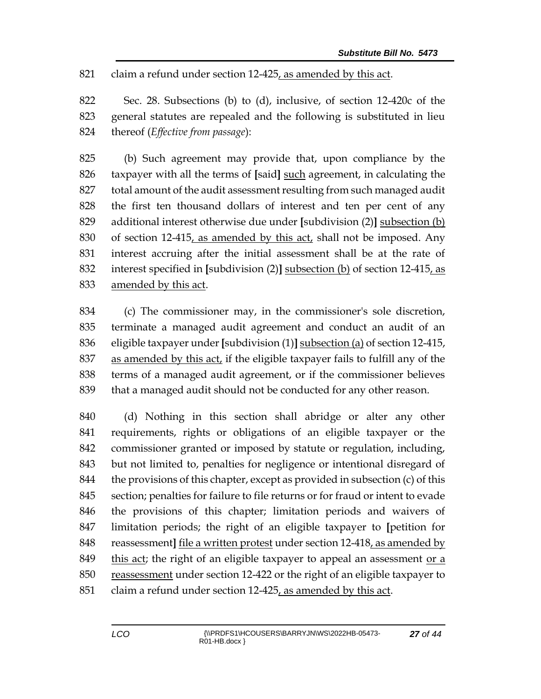claim a refund under section 12-425, as amended by this act.

 Sec. 28. Subsections (b) to (d), inclusive, of section 12-420c of the general statutes are repealed and the following is substituted in lieu thereof (*Effective from passage*):

 (b) Such agreement may provide that, upon compliance by the taxpayer with all the terms of **[**said**]** such agreement, in calculating the total amount of the audit assessment resulting from such managed audit the first ten thousand dollars of interest and ten per cent of any additional interest otherwise due under **[**subdivision (2)**]** subsection (b) of section 12-415, as amended by this act, shall not be imposed. Any interest accruing after the initial assessment shall be at the rate of interest specified in **[**subdivision (2)**]** subsection (b) of section 12-415, as amended by this act.

 (c) The commissioner may, in the commissioner's sole discretion, terminate a managed audit agreement and conduct an audit of an eligible taxpayer under **[**subdivision (1)**]** subsection (a) of section 12-415, 837 as amended by this act, if the eligible taxpayer fails to fulfill any of the terms of a managed audit agreement, or if the commissioner believes that a managed audit should not be conducted for any other reason.

 (d) Nothing in this section shall abridge or alter any other requirements, rights or obligations of an eligible taxpayer or the commissioner granted or imposed by statute or regulation, including, but not limited to, penalties for negligence or intentional disregard of 844 the provisions of this chapter, except as provided in subsection (c) of this section; penalties for failure to file returns or for fraud or intent to evade the provisions of this chapter; limitation periods and waivers of limitation periods; the right of an eligible taxpayer to **[**petition for reassessment**]** file a written protest under section 12-418, as amended by this act; the right of an eligible taxpayer to appeal an assessment or a reassessment under section 12-422 or the right of an eligible taxpayer to claim a refund under section 12-425, as amended by this act.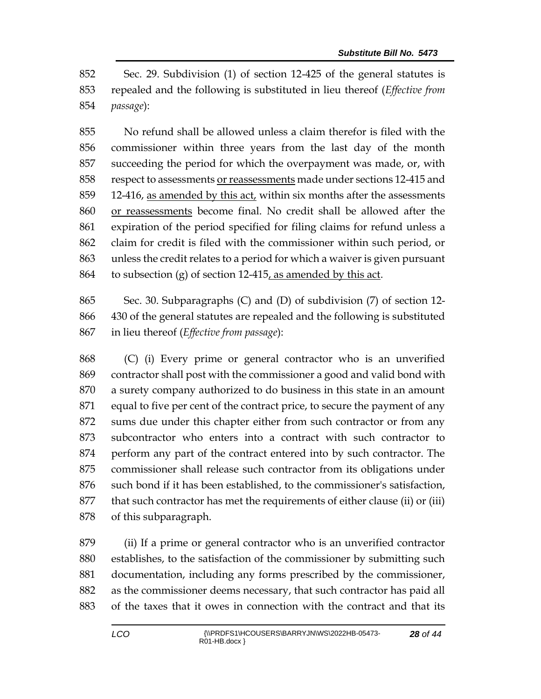Sec. 29. Subdivision (1) of section 12-425 of the general statutes is repealed and the following is substituted in lieu thereof (*Effective from passage*):

 No refund shall be allowed unless a claim therefor is filed with the commissioner within three years from the last day of the month succeeding the period for which the overpayment was made, or, with respect to assessments or reassessments made under sections 12-415 and 12-416, as amended by this act, within six months after the assessments or reassessments become final. No credit shall be allowed after the expiration of the period specified for filing claims for refund unless a claim for credit is filed with the commissioner within such period, or unless the credit relates to a period for which a waiver is given pursuant 864 to subsection (g) of section  $12-415$ , as amended by this act.

 Sec. 30. Subparagraphs (C) and (D) of subdivision (7) of section 12- 430 of the general statutes are repealed and the following is substituted in lieu thereof (*Effective from passage*):

 (C) (i) Every prime or general contractor who is an unverified contractor shall post with the commissioner a good and valid bond with a surety company authorized to do business in this state in an amount equal to five per cent of the contract price, to secure the payment of any sums due under this chapter either from such contractor or from any subcontractor who enters into a contract with such contractor to perform any part of the contract entered into by such contractor. The commissioner shall release such contractor from its obligations under such bond if it has been established, to the commissioner's satisfaction, that such contractor has met the requirements of either clause (ii) or (iii) of this subparagraph.

 (ii) If a prime or general contractor who is an unverified contractor establishes, to the satisfaction of the commissioner by submitting such documentation, including any forms prescribed by the commissioner, as the commissioner deems necessary, that such contractor has paid all of the taxes that it owes in connection with the contract and that its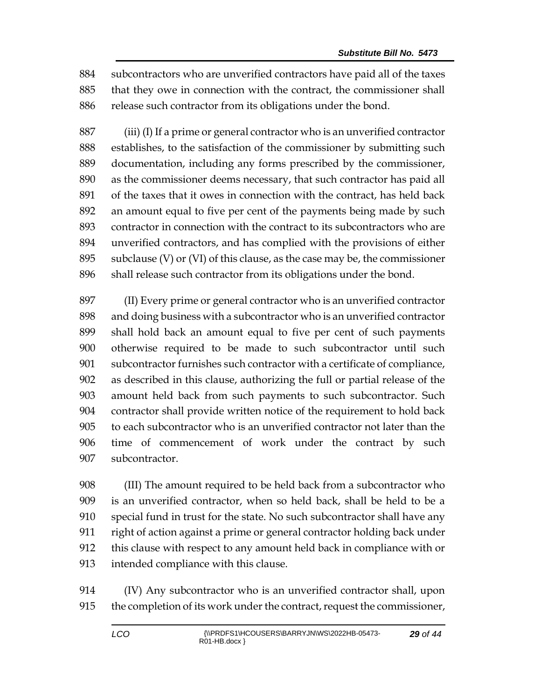subcontractors who are unverified contractors have paid all of the taxes that they owe in connection with the contract, the commissioner shall 886 release such contractor from its obligations under the bond.

 (iii) (I) If a prime or general contractor who is an unverified contractor establishes, to the satisfaction of the commissioner by submitting such documentation, including any forms prescribed by the commissioner, as the commissioner deems necessary, that such contractor has paid all of the taxes that it owes in connection with the contract, has held back an amount equal to five per cent of the payments being made by such contractor in connection with the contract to its subcontractors who are unverified contractors, and has complied with the provisions of either subclause (V) or (VI) of this clause, as the case may be, the commissioner shall release such contractor from its obligations under the bond.

 (II) Every prime or general contractor who is an unverified contractor and doing business with a subcontractor who is an unverified contractor shall hold back an amount equal to five per cent of such payments otherwise required to be made to such subcontractor until such subcontractor furnishes such contractor with a certificate of compliance, as described in this clause, authorizing the full or partial release of the amount held back from such payments to such subcontractor. Such contractor shall provide written notice of the requirement to hold back to each subcontractor who is an unverified contractor not later than the time of commencement of work under the contract by such subcontractor.

 (III) The amount required to be held back from a subcontractor who is an unverified contractor, when so held back, shall be held to be a special fund in trust for the state. No such subcontractor shall have any right of action against a prime or general contractor holding back under this clause with respect to any amount held back in compliance with or intended compliance with this clause.

 (IV) Any subcontractor who is an unverified contractor shall, upon the completion of its work under the contract, request the commissioner,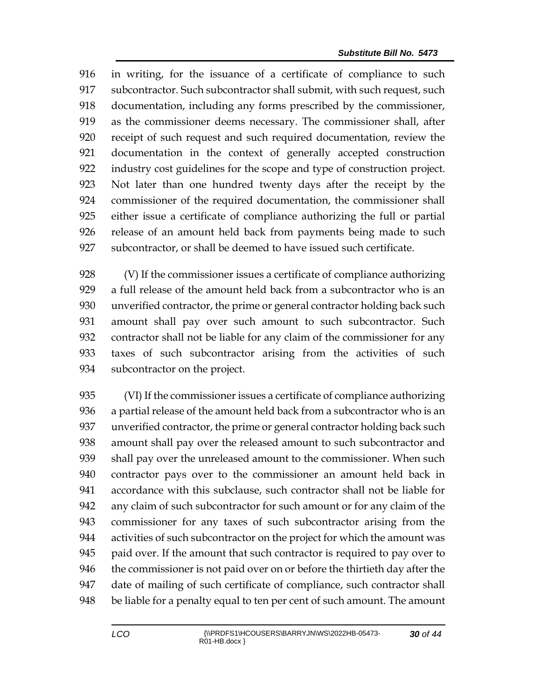in writing, for the issuance of a certificate of compliance to such subcontractor. Such subcontractor shall submit, with such request, such documentation, including any forms prescribed by the commissioner, as the commissioner deems necessary. The commissioner shall, after receipt of such request and such required documentation, review the documentation in the context of generally accepted construction industry cost guidelines for the scope and type of construction project. Not later than one hundred twenty days after the receipt by the commissioner of the required documentation, the commissioner shall either issue a certificate of compliance authorizing the full or partial release of an amount held back from payments being made to such subcontractor, or shall be deemed to have issued such certificate.

 (V) If the commissioner issues a certificate of compliance authorizing a full release of the amount held back from a subcontractor who is an unverified contractor, the prime or general contractor holding back such amount shall pay over such amount to such subcontractor. Such contractor shall not be liable for any claim of the commissioner for any taxes of such subcontractor arising from the activities of such subcontractor on the project.

 (VI) If the commissioner issues a certificate of compliance authorizing a partial release of the amount held back from a subcontractor who is an unverified contractor, the prime or general contractor holding back such amount shall pay over the released amount to such subcontractor and shall pay over the unreleased amount to the commissioner. When such contractor pays over to the commissioner an amount held back in accordance with this subclause, such contractor shall not be liable for any claim of such subcontractor for such amount or for any claim of the commissioner for any taxes of such subcontractor arising from the activities of such subcontractor on the project for which the amount was paid over. If the amount that such contractor is required to pay over to the commissioner is not paid over on or before the thirtieth day after the date of mailing of such certificate of compliance, such contractor shall be liable for a penalty equal to ten per cent of such amount. The amount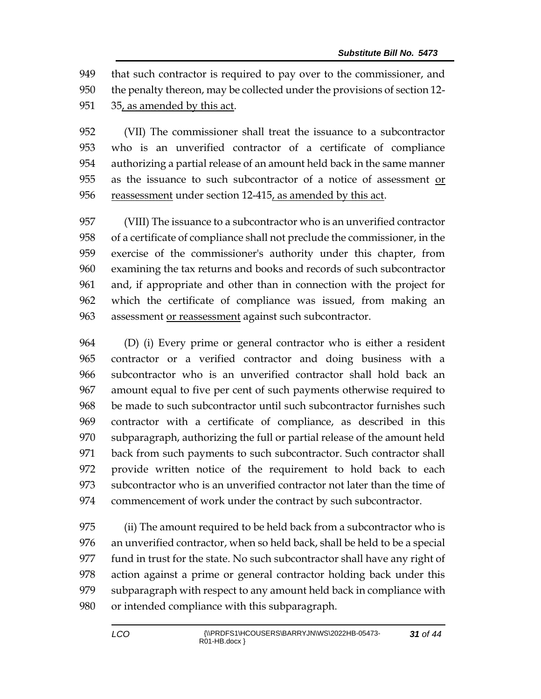that such contractor is required to pay over to the commissioner, and the penalty thereon, may be collected under the provisions of section 12- 35, as amended by this act.

 (VII) The commissioner shall treat the issuance to a subcontractor who is an unverified contractor of a certificate of compliance authorizing a partial release of an amount held back in the same manner as the issuance to such subcontractor of a notice of assessment or reassessment under section 12-415, as amended by this act.

 (VIII) The issuance to a subcontractor who is an unverified contractor of a certificate of compliance shall not preclude the commissioner, in the exercise of the commissioner's authority under this chapter, from examining the tax returns and books and records of such subcontractor and, if appropriate and other than in connection with the project for which the certificate of compliance was issued, from making an assessment or reassessment against such subcontractor.

 (D) (i) Every prime or general contractor who is either a resident contractor or a verified contractor and doing business with a subcontractor who is an unverified contractor shall hold back an amount equal to five per cent of such payments otherwise required to be made to such subcontractor until such subcontractor furnishes such contractor with a certificate of compliance, as described in this subparagraph, authorizing the full or partial release of the amount held back from such payments to such subcontractor. Such contractor shall provide written notice of the requirement to hold back to each subcontractor who is an unverified contractor not later than the time of commencement of work under the contract by such subcontractor.

 (ii) The amount required to be held back from a subcontractor who is an unverified contractor, when so held back, shall be held to be a special fund in trust for the state. No such subcontractor shall have any right of action against a prime or general contractor holding back under this subparagraph with respect to any amount held back in compliance with or intended compliance with this subparagraph.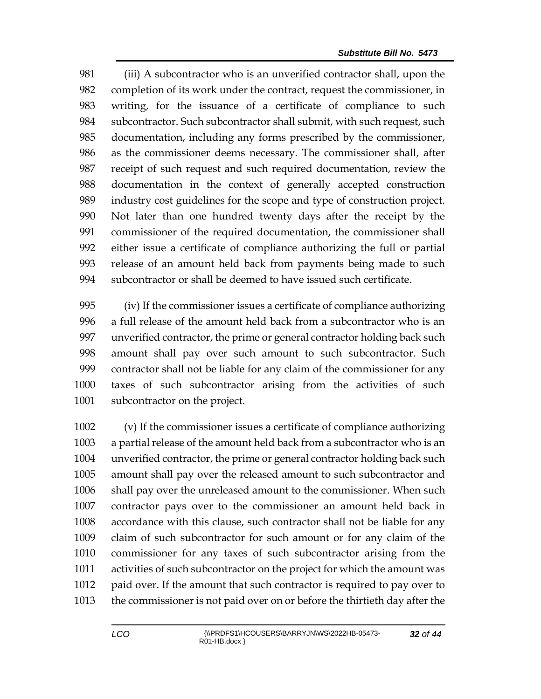(iii) A subcontractor who is an unverified contractor shall, upon the completion of its work under the contract, request the commissioner, in writing, for the issuance of a certificate of compliance to such 984 subcontractor. Such subcontractor shall submit, with such request, such documentation, including any forms prescribed by the commissioner, as the commissioner deems necessary. The commissioner shall, after receipt of such request and such required documentation, review the documentation in the context of generally accepted construction industry cost guidelines for the scope and type of construction project. Not later than one hundred twenty days after the receipt by the commissioner of the required documentation, the commissioner shall either issue a certificate of compliance authorizing the full or partial release of an amount held back from payments being made to such subcontractor or shall be deemed to have issued such certificate.

 (iv) If the commissioner issues a certificate of compliance authorizing a full release of the amount held back from a subcontractor who is an unverified contractor, the prime or general contractor holding back such amount shall pay over such amount to such subcontractor. Such contractor shall not be liable for any claim of the commissioner for any taxes of such subcontractor arising from the activities of such subcontractor on the project.

 (v) If the commissioner issues a certificate of compliance authorizing a partial release of the amount held back from a subcontractor who is an unverified contractor, the prime or general contractor holding back such amount shall pay over the released amount to such subcontractor and shall pay over the unreleased amount to the commissioner. When such contractor pays over to the commissioner an amount held back in accordance with this clause, such contractor shall not be liable for any claim of such subcontractor for such amount or for any claim of the commissioner for any taxes of such subcontractor arising from the activities of such subcontractor on the project for which the amount was paid over. If the amount that such contractor is required to pay over to the commissioner is not paid over on or before the thirtieth day after the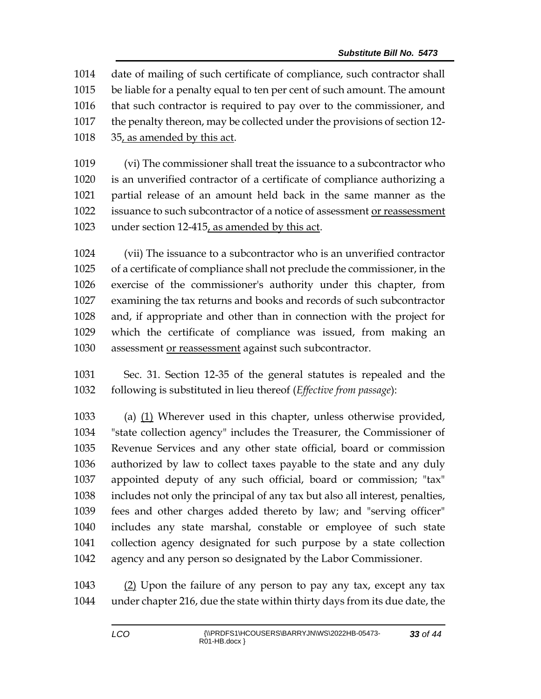date of mailing of such certificate of compliance, such contractor shall be liable for a penalty equal to ten per cent of such amount. The amount that such contractor is required to pay over to the commissioner, and the penalty thereon, may be collected under the provisions of section 12- 35, as amended by this act.

 (vi) The commissioner shall treat the issuance to a subcontractor who is an unverified contractor of a certificate of compliance authorizing a partial release of an amount held back in the same manner as the issuance to such subcontractor of a notice of assessment or reassessment under section 12-415, as amended by this act.

 (vii) The issuance to a subcontractor who is an unverified contractor of a certificate of compliance shall not preclude the commissioner, in the exercise of the commissioner's authority under this chapter, from examining the tax returns and books and records of such subcontractor and, if appropriate and other than in connection with the project for which the certificate of compliance was issued, from making an 1030 assessment or reassessment against such subcontractor.

 Sec. 31. Section 12-35 of the general statutes is repealed and the following is substituted in lieu thereof (*Effective from passage*):

 (a) (1) Wherever used in this chapter, unless otherwise provided, "state collection agency" includes the Treasurer, the Commissioner of Revenue Services and any other state official, board or commission authorized by law to collect taxes payable to the state and any duly appointed deputy of any such official, board or commission; "tax" includes not only the principal of any tax but also all interest, penalties, fees and other charges added thereto by law; and "serving officer" includes any state marshal, constable or employee of such state collection agency designated for such purpose by a state collection agency and any person so designated by the Labor Commissioner.

 (2) Upon the failure of any person to pay any tax, except any tax under chapter 216, due the state within thirty days from its due date, the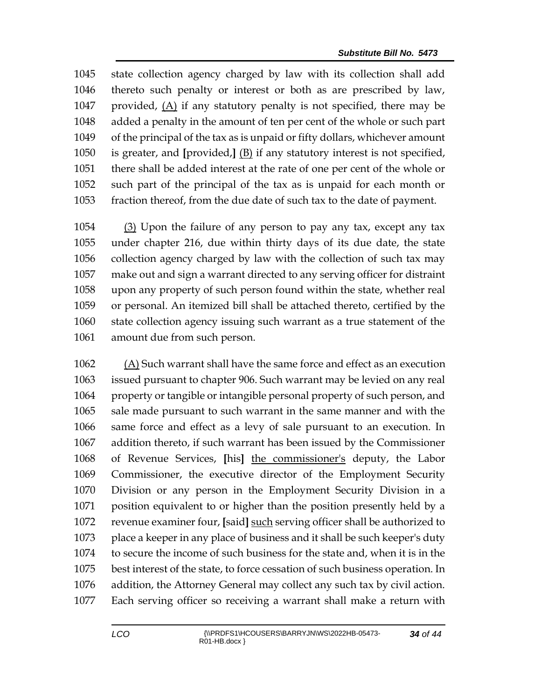state collection agency charged by law with its collection shall add thereto such penalty or interest or both as are prescribed by law, 1047 provided,  $(A)$  if any statutory penalty is not specified, there may be added a penalty in the amount of ten per cent of the whole or such part of the principal of the tax as is unpaid or fifty dollars, whichever amount is greater, and **[**provided,**]** (B) if any statutory interest is not specified, there shall be added interest at the rate of one per cent of the whole or such part of the principal of the tax as is unpaid for each month or fraction thereof, from the due date of such tax to the date of payment.

 (3) Upon the failure of any person to pay any tax, except any tax under chapter 216, due within thirty days of its due date, the state collection agency charged by law with the collection of such tax may make out and sign a warrant directed to any serving officer for distraint upon any property of such person found within the state, whether real or personal. An itemized bill shall be attached thereto, certified by the state collection agency issuing such warrant as a true statement of the amount due from such person.

 $(A)$  Such warrant shall have the same force and effect as an execution issued pursuant to chapter 906. Such warrant may be levied on any real property or tangible or intangible personal property of such person, and sale made pursuant to such warrant in the same manner and with the same force and effect as a levy of sale pursuant to an execution. In addition thereto, if such warrant has been issued by the Commissioner of Revenue Services, **[**his**]** the commissioner's deputy, the Labor Commissioner, the executive director of the Employment Security Division or any person in the Employment Security Division in a position equivalent to or higher than the position presently held by a revenue examiner four, **[**said**]** such serving officer shall be authorized to place a keeper in any place of business and it shall be such keeper's duty to secure the income of such business for the state and, when it is in the best interest of the state, to force cessation of such business operation. In addition, the Attorney General may collect any such tax by civil action. Each serving officer so receiving a warrant shall make a return with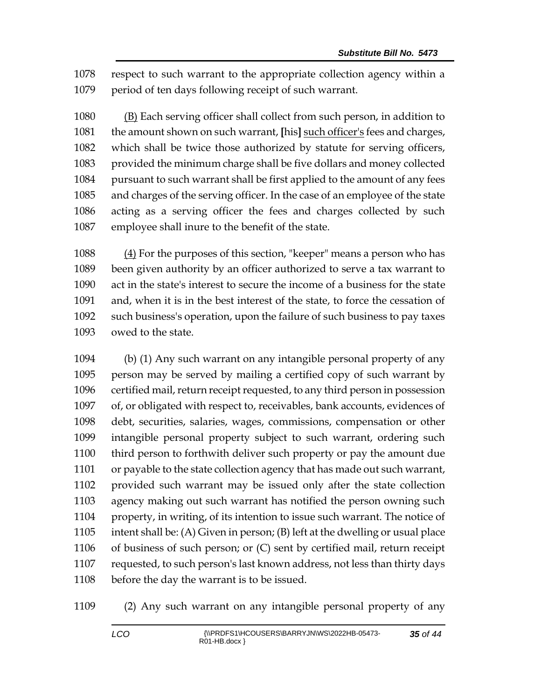respect to such warrant to the appropriate collection agency within a period of ten days following receipt of such warrant.

 (B) Each serving officer shall collect from such person, in addition to the amount shown on such warrant, **[**his**]** such officer's fees and charges, which shall be twice those authorized by statute for serving officers, provided the minimum charge shall be five dollars and money collected pursuant to such warrant shall be first applied to the amount of any fees and charges of the serving officer. In the case of an employee of the state acting as a serving officer the fees and charges collected by such employee shall inure to the benefit of the state.

 (4) For the purposes of this section, "keeper" means a person who has been given authority by an officer authorized to serve a tax warrant to act in the state's interest to secure the income of a business for the state and, when it is in the best interest of the state, to force the cessation of such business's operation, upon the failure of such business to pay taxes owed to the state.

 (b) (1) Any such warrant on any intangible personal property of any person may be served by mailing a certified copy of such warrant by certified mail, return receipt requested, to any third person in possession of, or obligated with respect to, receivables, bank accounts, evidences of debt, securities, salaries, wages, commissions, compensation or other intangible personal property subject to such warrant, ordering such third person to forthwith deliver such property or pay the amount due or payable to the state collection agency that has made out such warrant, provided such warrant may be issued only after the state collection agency making out such warrant has notified the person owning such property, in writing, of its intention to issue such warrant. The notice of intent shall be: (A) Given in person; (B) left at the dwelling or usual place of business of such person; or (C) sent by certified mail, return receipt requested, to such person's last known address, not less than thirty days before the day the warrant is to be issued.

(2) Any such warrant on any intangible personal property of any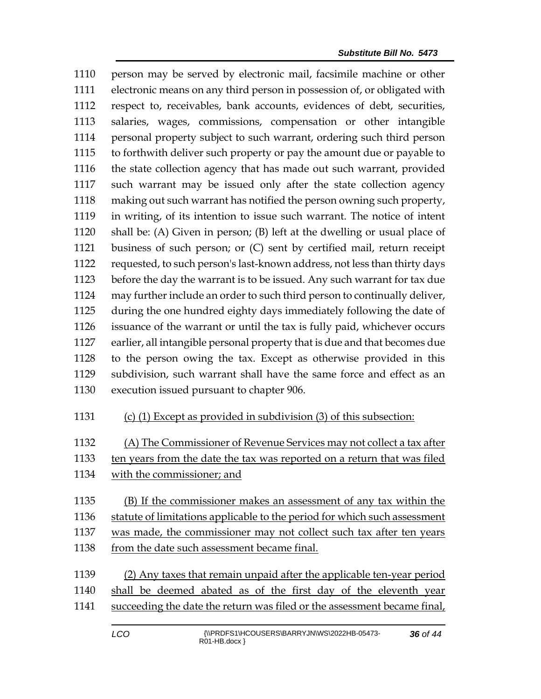person may be served by electronic mail, facsimile machine or other electronic means on any third person in possession of, or obligated with respect to, receivables, bank accounts, evidences of debt, securities, salaries, wages, commissions, compensation or other intangible personal property subject to such warrant, ordering such third person to forthwith deliver such property or pay the amount due or payable to the state collection agency that has made out such warrant, provided such warrant may be issued only after the state collection agency making out such warrant has notified the person owning such property, in writing, of its intention to issue such warrant. The notice of intent shall be: (A) Given in person; (B) left at the dwelling or usual place of business of such person; or (C) sent by certified mail, return receipt requested, to such person's last-known address, not less than thirty days before the day the warrant is to be issued. Any such warrant for tax due may further include an order to such third person to continually deliver, during the one hundred eighty days immediately following the date of issuance of the warrant or until the tax is fully paid, whichever occurs earlier, all intangible personal property that is due and that becomes due to the person owing the tax. Except as otherwise provided in this subdivision, such warrant shall have the same force and effect as an execution issued pursuant to chapter 906.

(c) (1) Except as provided in subdivision (3) of this subsection:

(A) The Commissioner of Revenue Services may not collect a tax after

- ten years from the date the tax was reported on a return that was filed
- with the commissioner; and
- (B) If the commissioner makes an assessment of any tax within the statute of limitations applicable to the period for which such assessment
- was made, the commissioner may not collect such tax after ten years 1138 from the date such assessment became final.
- (2) Any taxes that remain unpaid after the applicable ten-year period shall be deemed abated as of the first day of the eleventh year 1141 succeeding the date the return was filed or the assessment became final,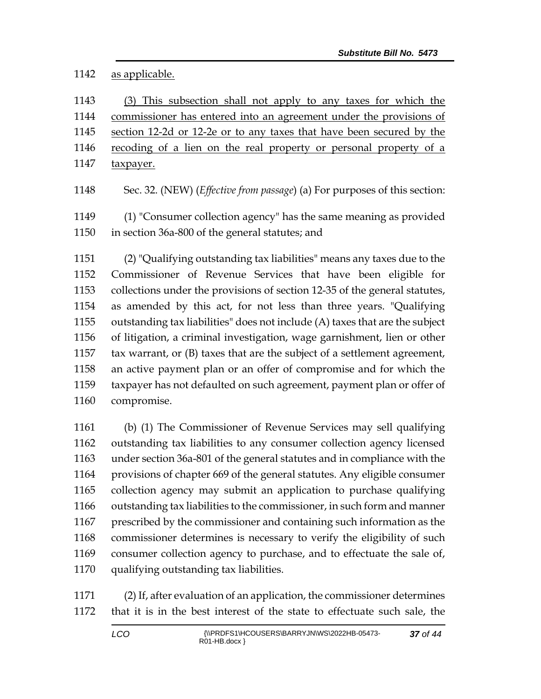#### as applicable.

 (3) This subsection shall not apply to any taxes for which the commissioner has entered into an agreement under the provisions of section 12-2d or 12-2e or to any taxes that have been secured by the 1146 recoding of a lien on the real property or personal property of a 1147 taxpayer.

Sec. 32. (NEW) (*Effective from passage*) (a) For purposes of this section:

 (1) "Consumer collection agency" has the same meaning as provided in section 36a-800 of the general statutes; and

 (2) "Qualifying outstanding tax liabilities" means any taxes due to the Commissioner of Revenue Services that have been eligible for collections under the provisions of section 12-35 of the general statutes, as amended by this act, for not less than three years. "Qualifying outstanding tax liabilities" does not include (A) taxes that are the subject of litigation, a criminal investigation, wage garnishment, lien or other tax warrant, or (B) taxes that are the subject of a settlement agreement, an active payment plan or an offer of compromise and for which the taxpayer has not defaulted on such agreement, payment plan or offer of compromise.

 (b) (1) The Commissioner of Revenue Services may sell qualifying outstanding tax liabilities to any consumer collection agency licensed under section 36a-801 of the general statutes and in compliance with the provisions of chapter 669 of the general statutes. Any eligible consumer collection agency may submit an application to purchase qualifying outstanding tax liabilities to the commissioner, in such form and manner prescribed by the commissioner and containing such information as the commissioner determines is necessary to verify the eligibility of such consumer collection agency to purchase, and to effectuate the sale of, qualifying outstanding tax liabilities.

 (2) If, after evaluation of an application, the commissioner determines that it is in the best interest of the state to effectuate such sale, the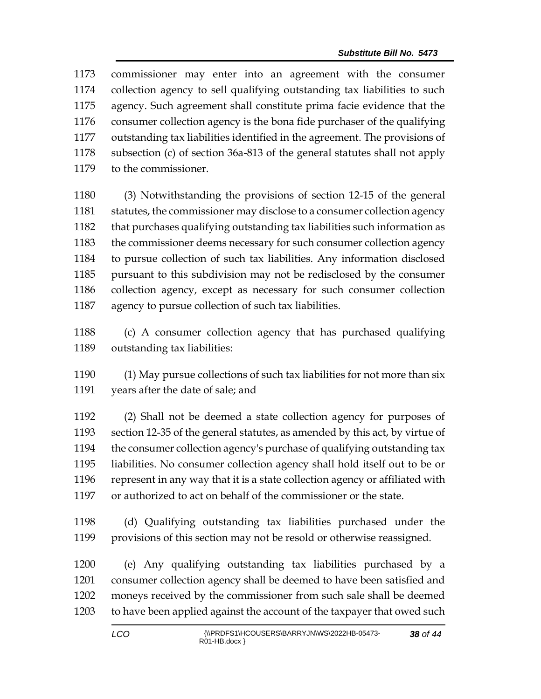| 1173 | commissioner may enter into an agreement with the consumer                 |
|------|----------------------------------------------------------------------------|
| 1174 | collection agency to sell qualifying outstanding tax liabilities to such   |
| 1175 | agency. Such agreement shall constitute prima facie evidence that the      |
| 1176 | consumer collection agency is the bona fide purchaser of the qualifying    |
| 1177 | outstanding tax liabilities identified in the agreement. The provisions of |
| 1178 | subsection (c) of section 36a-813 of the general statutes shall not apply  |
| 1179 | to the commissioner.                                                       |
|      |                                                                            |

 (3) Notwithstanding the provisions of section 12-15 of the general 1181 statutes, the commissioner may disclose to a consumer collection agency that purchases qualifying outstanding tax liabilities such information as 1183 the commissioner deems necessary for such consumer collection agency to pursue collection of such tax liabilities. Any information disclosed pursuant to this subdivision may not be redisclosed by the consumer collection agency, except as necessary for such consumer collection agency to pursue collection of such tax liabilities.

 (c) A consumer collection agency that has purchased qualifying outstanding tax liabilities:

 (1) May pursue collections of such tax liabilities for not more than six years after the date of sale; and

 (2) Shall not be deemed a state collection agency for purposes of section 12-35 of the general statutes, as amended by this act, by virtue of the consumer collection agency's purchase of qualifying outstanding tax liabilities. No consumer collection agency shall hold itself out to be or represent in any way that it is a state collection agency or affiliated with or authorized to act on behalf of the commissioner or the state.

 (d) Qualifying outstanding tax liabilities purchased under the provisions of this section may not be resold or otherwise reassigned.

 (e) Any qualifying outstanding tax liabilities purchased by a consumer collection agency shall be deemed to have been satisfied and moneys received by the commissioner from such sale shall be deemed to have been applied against the account of the taxpayer that owed such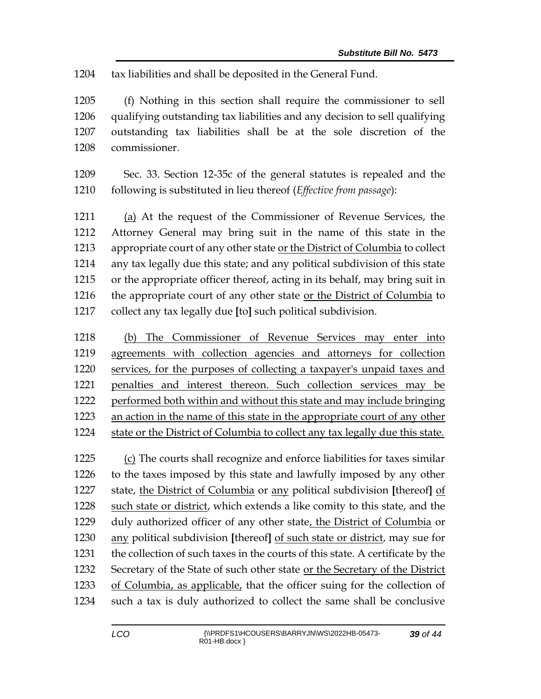tax liabilities and shall be deposited in the General Fund.

 (f) Nothing in this section shall require the commissioner to sell qualifying outstanding tax liabilities and any decision to sell qualifying outstanding tax liabilities shall be at the sole discretion of the commissioner.

 Sec. 33. Section 12-35c of the general statutes is repealed and the following is substituted in lieu thereof (*Effective from passage*):

 (a) At the request of the Commissioner of Revenue Services, the Attorney General may bring suit in the name of this state in the appropriate court of any other state or the District of Columbia to collect any tax legally due this state; and any political subdivision of this state or the appropriate officer thereof, acting in its behalf, may bring suit in 1216 the appropriate court of any other state or the District of Columbia to collect any tax legally due **[**to**]** such political subdivision.

 (b) The Commissioner of Revenue Services may enter into agreements with collection agencies and attorneys for collection services, for the purposes of collecting a taxpayer's unpaid taxes and penalties and interest thereon. Such collection services may be performed both within and without this state and may include bringing an action in the name of this state in the appropriate court of any other state or the District of Columbia to collect any tax legally due this state.

 (c) The courts shall recognize and enforce liabilities for taxes similar to the taxes imposed by this state and lawfully imposed by any other state, the District of Columbia or any political subdivision **[**thereof**]** of such state or district, which extends a like comity to this state, and the duly authorized officer of any other state, the District of Columbia or any political subdivision **[**thereof**]** of such state or district, may sue for the collection of such taxes in the courts of this state. A certificate by the Secretary of the State of such other state or the Secretary of the District of Columbia, as applicable, that the officer suing for the collection of such a tax is duly authorized to collect the same shall be conclusive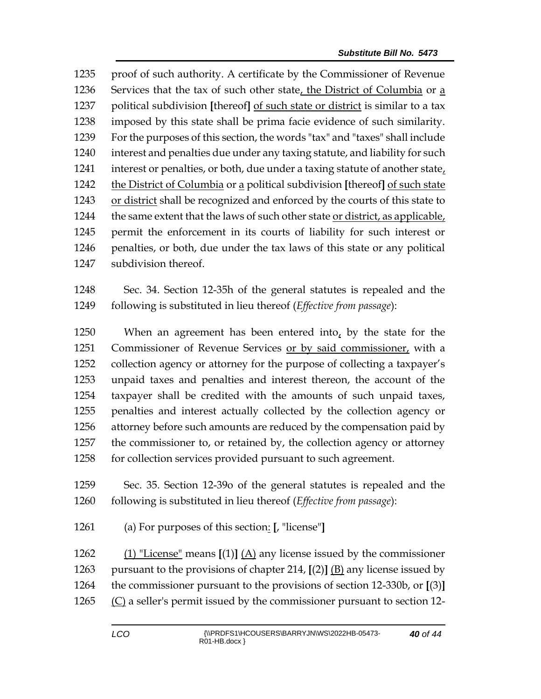proof of such authority. A certificate by the Commissioner of Revenue Services that the tax of such other state, the District of Columbia or a political subdivision **[**thereof**]** of such state or district is similar to a tax imposed by this state shall be prima facie evidence of such similarity. For the purposes of this section, the words "tax" and "taxes" shall include interest and penalties due under any taxing statute, and liability for such 1241 interest or penalties, or both, due under a taxing statute of another state, the District of Columbia or a political subdivision **[**thereof**]** of such state or district shall be recognized and enforced by the courts of this state to the same extent that the laws of such other state or district, as applicable, permit the enforcement in its courts of liability for such interest or penalties, or both, due under the tax laws of this state or any political subdivision thereof.

 Sec. 34. Section 12-35h of the general statutes is repealed and the following is substituted in lieu thereof (*Effective from passage*):

 When an agreement has been entered into, by the state for the Commissioner of Revenue Services or by said commissioner, with a collection agency or attorney for the purpose of collecting a taxpayer's unpaid taxes and penalties and interest thereon, the account of the taxpayer shall be credited with the amounts of such unpaid taxes, penalties and interest actually collected by the collection agency or attorney before such amounts are reduced by the compensation paid by the commissioner to, or retained by, the collection agency or attorney 1258 for collection services provided pursuant to such agreement.

 Sec. 35. Section 12-39o of the general statutes is repealed and the following is substituted in lieu thereof (*Effective from passage*):

(a) For purposes of this section: **[**, "license"**]**

 (1) "License" means **[**(1)**]** (A) any license issued by the commissioner pursuant to the provisions of chapter 214, **[**(2)**]** (B) any license issued by the commissioner pursuant to the provisions of section 12-330b, or **[**(3)**]**  $(C)$  a seller's permit issued by the commissioner pursuant to section 12-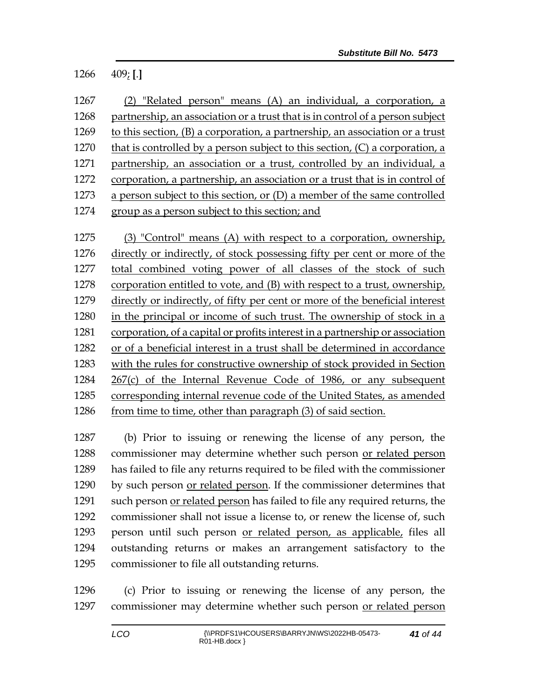### 409; **[**.**]**

| 1267 | (2) "Related person" means (A) an individual, a corporation, a                                                       |
|------|----------------------------------------------------------------------------------------------------------------------|
| 1268 | partnership, an association or a trust that is in control of a person subject                                        |
| 1269 | to this section, (B) a corporation, a partnership, an association or a trust                                         |
| 1270 | that is controlled by a person subject to this section, $(C)$ a corporation, a                                       |
| 1271 | partnership, an association or a trust, controlled by an individual, a                                               |
| 1272 | corporation, a partnership, an association or a trust that is in control of                                          |
| 1273 | a person subject to this section, or $(D)$ a member of the same controlled                                           |
| 1274 | group as a person subject to this section; and                                                                       |
|      |                                                                                                                      |
| 1275 | (3) "Control" means (A) with respect to a corporation, ownership,                                                    |
|      | المنقاب المستحيل والمستحيل والمستحيل والمستحيل والمستحيل والمستحيل والمستحيل والمستحيل والمستحيل والمستحيل والمستحيل |

 directly or indirectly, of stock possessing fifty per cent or more of the total combined voting power of all classes of the stock of such corporation entitled to vote, and (B) with respect to a trust, ownership, directly or indirectly, of fifty per cent or more of the beneficial interest in the principal or income of such trust. The ownership of stock in a corporation, of a capital or profits interest in a partnership or association or of a beneficial interest in a trust shall be determined in accordance with the rules for constructive ownership of stock provided in Section 267(c) of the Internal Revenue Code of 1986, or any subsequent corresponding internal revenue code of the United States, as amended 1286 from time to time, other than paragraph (3) of said section.

 (b) Prior to issuing or renewing the license of any person, the commissioner may determine whether such person or related person has failed to file any returns required to be filed with the commissioner by such person or related person. If the commissioner determines that such person or related person has failed to file any required returns, the commissioner shall not issue a license to, or renew the license of, such person until such person or related person, as applicable, files all outstanding returns or makes an arrangement satisfactory to the commissioner to file all outstanding returns.

 (c) Prior to issuing or renewing the license of any person, the commissioner may determine whether such person or related person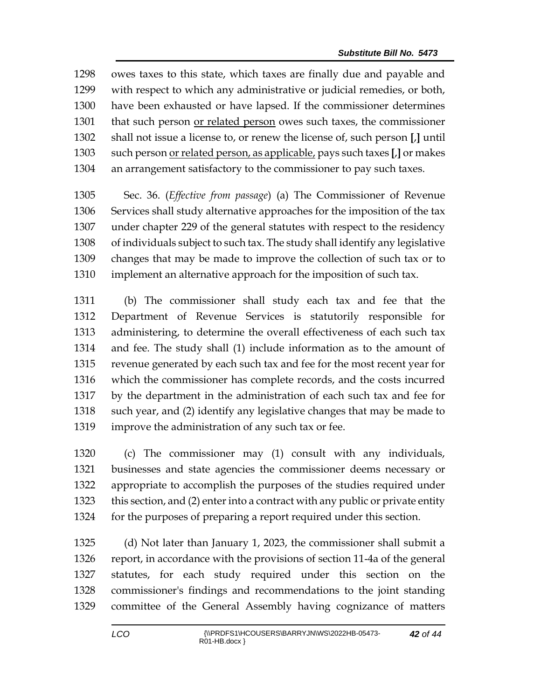owes taxes to this state, which taxes are finally due and payable and with respect to which any administrative or judicial remedies, or both, have been exhausted or have lapsed. If the commissioner determines that such person or related person owes such taxes, the commissioner shall not issue a license to, or renew the license of, such person **[**,**]** until such person or related person, as applicable, pays such taxes **[**,**]** or makes an arrangement satisfactory to the commissioner to pay such taxes.

 Sec. 36. (*Effective from passage*) (a) The Commissioner of Revenue Services shall study alternative approaches for the imposition of the tax under chapter 229 of the general statutes with respect to the residency of individuals subject to such tax. The study shall identify any legislative changes that may be made to improve the collection of such tax or to implement an alternative approach for the imposition of such tax.

 (b) The commissioner shall study each tax and fee that the Department of Revenue Services is statutorily responsible for administering, to determine the overall effectiveness of each such tax and fee. The study shall (1) include information as to the amount of revenue generated by each such tax and fee for the most recent year for which the commissioner has complete records, and the costs incurred by the department in the administration of each such tax and fee for such year, and (2) identify any legislative changes that may be made to improve the administration of any such tax or fee.

 (c) The commissioner may (1) consult with any individuals, businesses and state agencies the commissioner deems necessary or appropriate to accomplish the purposes of the studies required under this section, and (2) enter into a contract with any public or private entity for the purposes of preparing a report required under this section.

 (d) Not later than January 1, 2023, the commissioner shall submit a report, in accordance with the provisions of section 11-4a of the general statutes, for each study required under this section on the commissioner's findings and recommendations to the joint standing committee of the General Assembly having cognizance of matters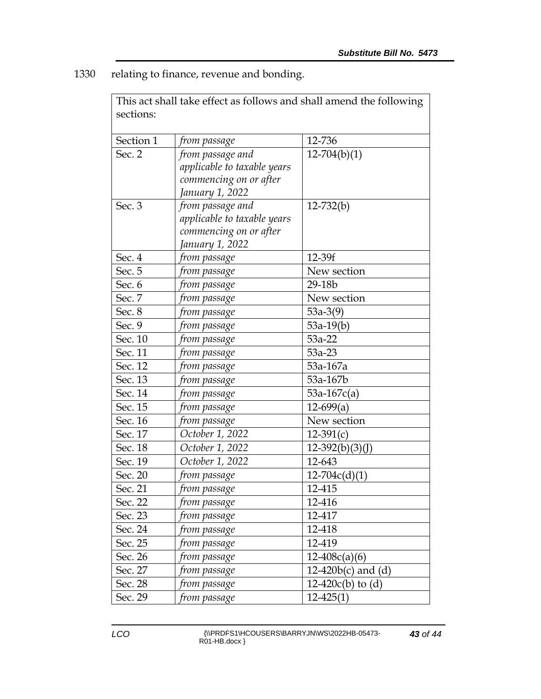1330 relating to finance, revenue and bonding.

| This act shall take effect as follows and shall amend the following |                             |                         |  |  |  |
|---------------------------------------------------------------------|-----------------------------|-------------------------|--|--|--|
| sections:                                                           |                             |                         |  |  |  |
|                                                                     |                             |                         |  |  |  |
| Section 1                                                           | from passage                | 12-736                  |  |  |  |
| Sec. 2                                                              | from passage and            | $12-704(b)(1)$          |  |  |  |
|                                                                     | applicable to taxable years |                         |  |  |  |
|                                                                     | commencing on or after      |                         |  |  |  |
|                                                                     | January 1, 2022             |                         |  |  |  |
| Sec. 3                                                              | from passage and            | $12 - 732(b)$           |  |  |  |
|                                                                     | applicable to taxable years |                         |  |  |  |
|                                                                     | commencing on or after      |                         |  |  |  |
|                                                                     | January 1, 2022             |                         |  |  |  |
| Sec. 4                                                              | from passage                | 12-39f                  |  |  |  |
| Sec. 5                                                              | from passage                | New section             |  |  |  |
| Sec. 6                                                              | from passage                | 29-18b                  |  |  |  |
| Sec. 7                                                              | from passage                | New section             |  |  |  |
| Sec. 8                                                              | from passage                | $53a-3(9)$              |  |  |  |
| Sec. 9                                                              | from passage                | $53a-19(b)$             |  |  |  |
| Sec. 10                                                             | from passage                | $53a-22$                |  |  |  |
| Sec. 11                                                             | from passage                | $53a-23$                |  |  |  |
| Sec. 12                                                             | from passage                | 53a-167a                |  |  |  |
| Sec. 13                                                             | from passage                | 53a-167b                |  |  |  |
| Sec. 14                                                             | from passage                | $53a-167c(a)$           |  |  |  |
| Sec. 15                                                             | from passage                | $12-699(a)$             |  |  |  |
| Sec. 16                                                             | from passage                | New section             |  |  |  |
| Sec. 17                                                             | October 1, 2022             | $12-391(c)$             |  |  |  |
| Sec. 18                                                             | October 1, 2022             | $12-392(b)(3)(J)$       |  |  |  |
| Sec. 19                                                             | October 1, 2022             | 12-643                  |  |  |  |
| Sec. 20                                                             | from passage                | $12-704c(d)(1)$         |  |  |  |
| Sec. 21                                                             | from passage                | 12-415                  |  |  |  |
| Sec. 22                                                             | from passage                | 12-416                  |  |  |  |
| Sec. 23                                                             | from passage                | 12-417                  |  |  |  |
| Sec. 24                                                             | from passage                | 12-418                  |  |  |  |
| Sec. 25                                                             | from passage                | 12-419                  |  |  |  |
| Sec. 26                                                             | from passage                | $12-408c(a)(6)$         |  |  |  |
| Sec. 27                                                             | from passage                | 12-420 $b(c)$ and $(d)$ |  |  |  |
| Sec. 28                                                             | from passage                | $12-420c(b)$ to (d)     |  |  |  |
| Sec. 29                                                             | from passage                | $12 - 425(1)$           |  |  |  |